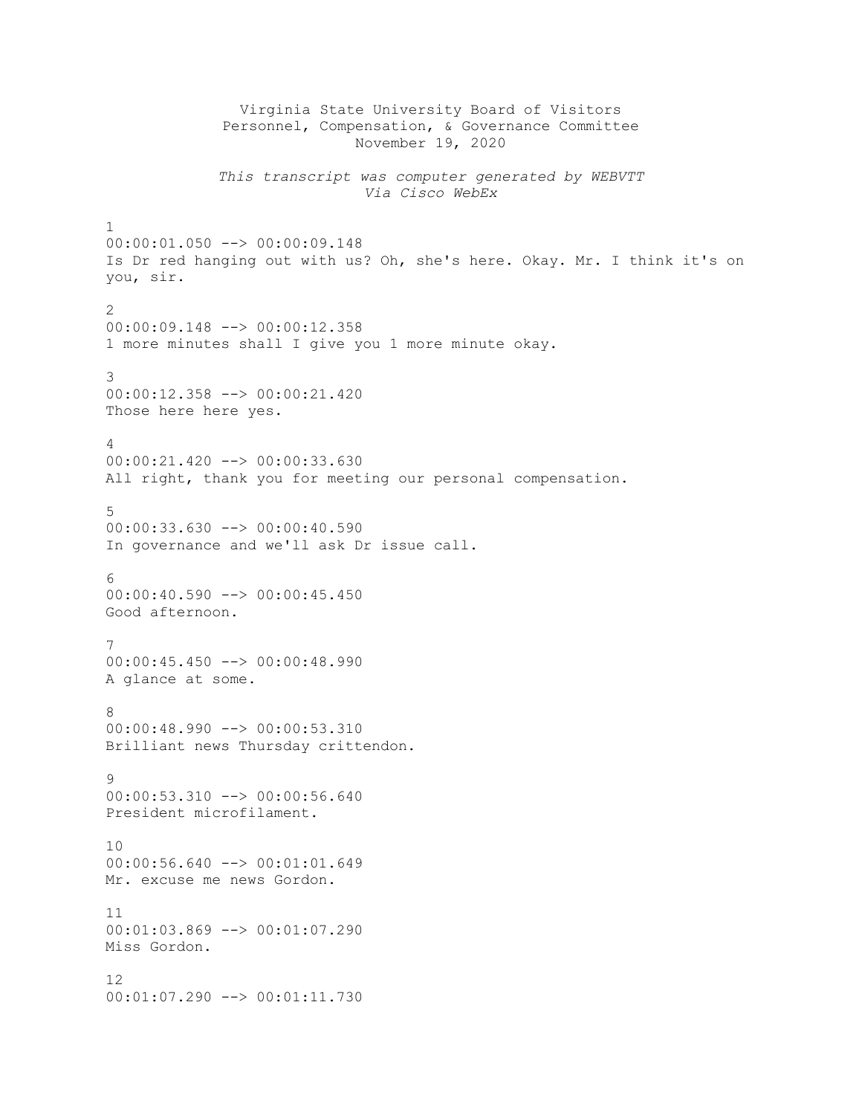Virginia State University Board of Visitors Personnel, Compensation, & Governance Committee November 19, 2020 *This transcript was computer generated by WEBVTT Via Cisco WebEx* 1 00:00:01.050 --> 00:00:09.148 Is Dr red hanging out with us? Oh, she's here. Okay. Mr. I think it's on you, sir.  $\mathfrak{D}$ 00:00:09.148 --> 00:00:12.358 1 more minutes shall I give you 1 more minute okay. 3 00:00:12.358 --> 00:00:21.420 Those here here yes. 4 00:00:21.420 --> 00:00:33.630 All right, thank you for meeting our personal compensation. 5 00:00:33.630 --> 00:00:40.590 In governance and we'll ask Dr issue call. 6 00:00:40.590 --> 00:00:45.450 Good afternoon. 7  $00:00:45.450$   $\longrightarrow 00:00:48.990$ A glance at some. 8 00:00:48.990 --> 00:00:53.310 Brilliant news Thursday crittendon.  $\alpha$  $00:00:53.310$  -->  $00:00:56.640$ President microfilament. 10 00:00:56.640 --> 00:01:01.649 Mr. excuse me news Gordon. 11 00:01:03.869 --> 00:01:07.290 Miss Gordon. 12 00:01:07.290 --> 00:01:11.730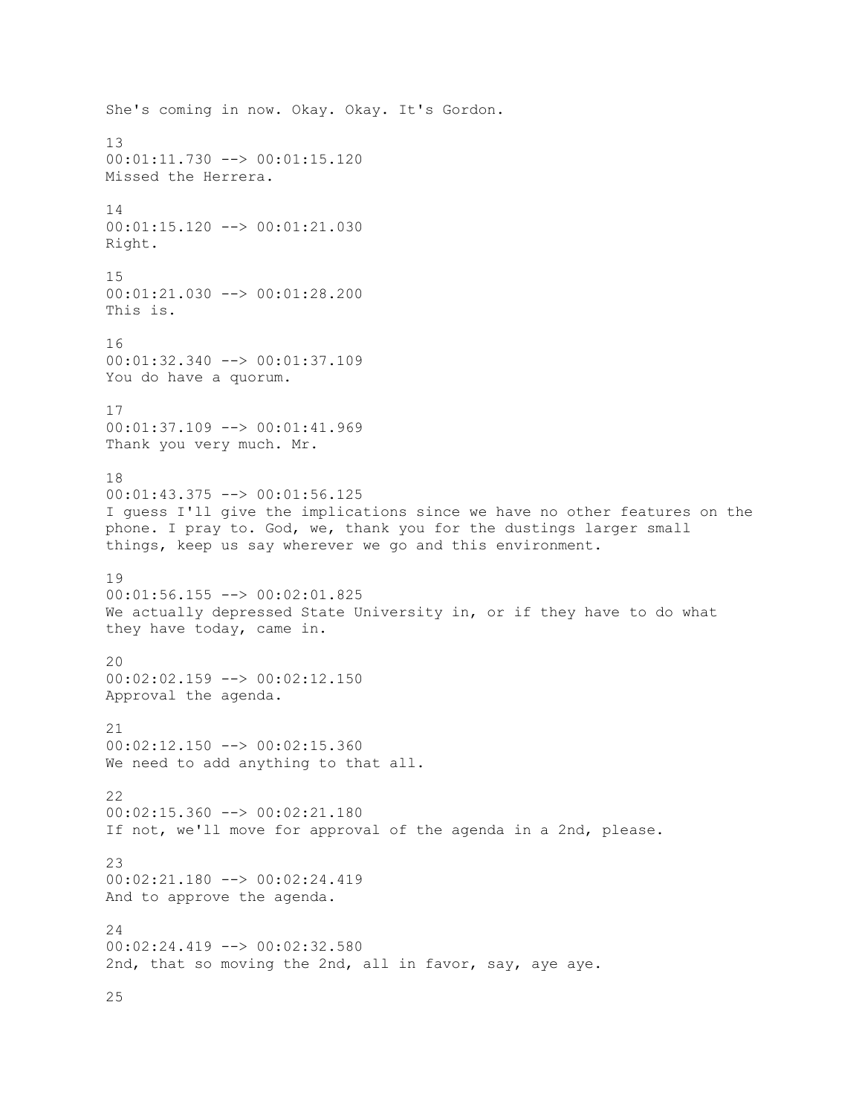She's coming in now. Okay. Okay. It's Gordon. 13 00:01:11.730 --> 00:01:15.120 Missed the Herrera. 14 00:01:15.120 --> 00:01:21.030 Right. 15 00:01:21.030 --> 00:01:28.200 This is. 16 00:01:32.340 --> 00:01:37.109 You do have a quorum. 17 00:01:37.109 --> 00:01:41.969 Thank you very much. Mr. 18 00:01:43.375 --> 00:01:56.125 I guess I'll give the implications since we have no other features on the phone. I pray to. God, we, thank you for the dustings larger small things, keep us say wherever we go and this environment. 19 00:01:56.155 --> 00:02:01.825 We actually depressed State University in, or if they have to do what they have today, came in.  $20$ 00:02:02.159 --> 00:02:12.150 Approval the agenda. 21  $00:02:12.150$  -->  $00:02:15.360$ We need to add anything to that all. 22 00:02:15.360 --> 00:02:21.180 If not, we'll move for approval of the agenda in a 2nd, please. 23 00:02:21.180 --> 00:02:24.419 And to approve the agenda. 24 00:02:24.419 --> 00:02:32.580 2nd, that so moving the 2nd, all in favor, say, aye aye.

25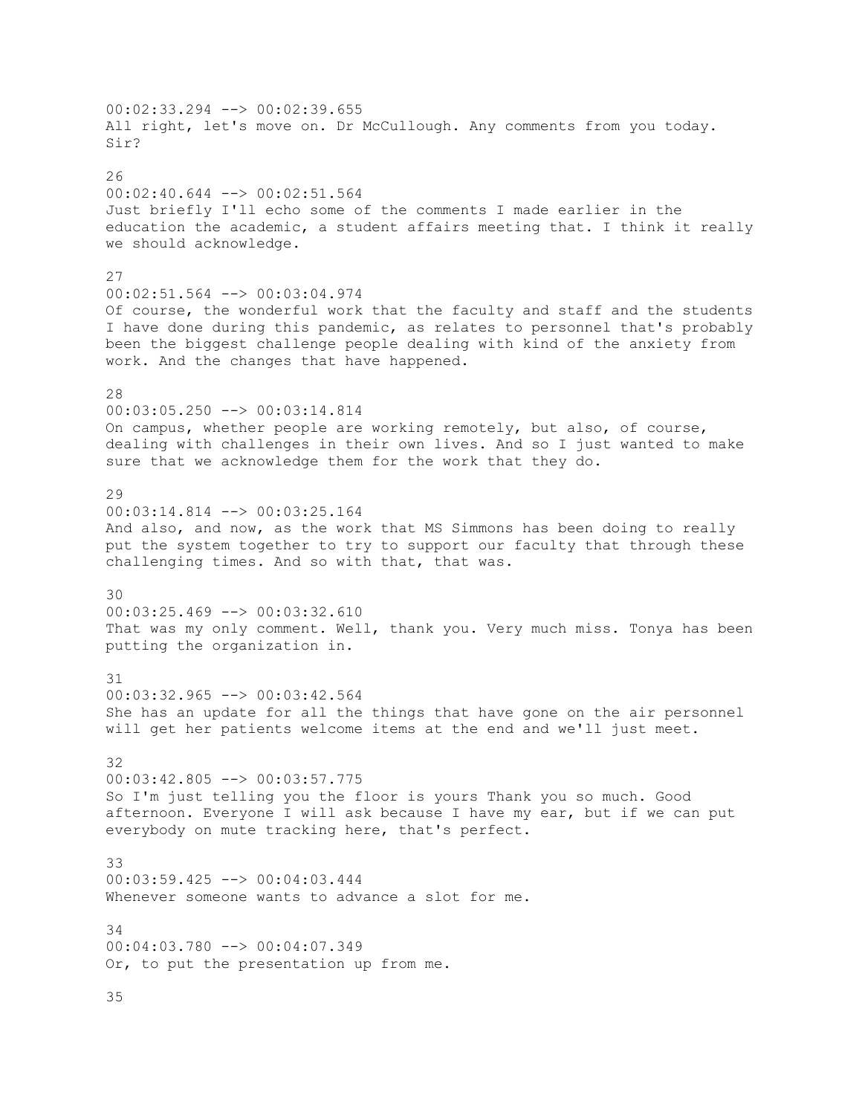00:02:33.294 --> 00:02:39.655 All right, let's move on. Dr McCullough. Any comments from you today. Sir? 26 00:02:40.644 --> 00:02:51.564 Just briefly I'll echo some of the comments I made earlier in the education the academic, a student affairs meeting that. I think it really we should acknowledge. 27 00:02:51.564 --> 00:03:04.974 Of course, the wonderful work that the faculty and staff and the students I have done during this pandemic, as relates to personnel that's probably been the biggest challenge people dealing with kind of the anxiety from work. And the changes that have happened. 28 00:03:05.250 --> 00:03:14.814 On campus, whether people are working remotely, but also, of course, dealing with challenges in their own lives. And so I just wanted to make sure that we acknowledge them for the work that they do. 29 00:03:14.814 --> 00:03:25.164 And also, and now, as the work that MS Simmons has been doing to really put the system together to try to support our faculty that through these challenging times. And so with that, that was. 30 00:03:25.469 --> 00:03:32.610 That was my only comment. Well, thank you. Very much miss. Tonya has been putting the organization in. 31 00:03:32.965 --> 00:03:42.564 She has an update for all the things that have gone on the air personnel will get her patients welcome items at the end and we'll just meet. 32 00:03:42.805 --> 00:03:57.775 So I'm just telling you the floor is yours Thank you so much. Good afternoon. Everyone I will ask because I have my ear, but if we can put everybody on mute tracking here, that's perfect. 33 00:03:59.425 --> 00:04:03.444 Whenever someone wants to advance a slot for me. 34 00:04:03.780 --> 00:04:07.349 Or, to put the presentation up from me. 35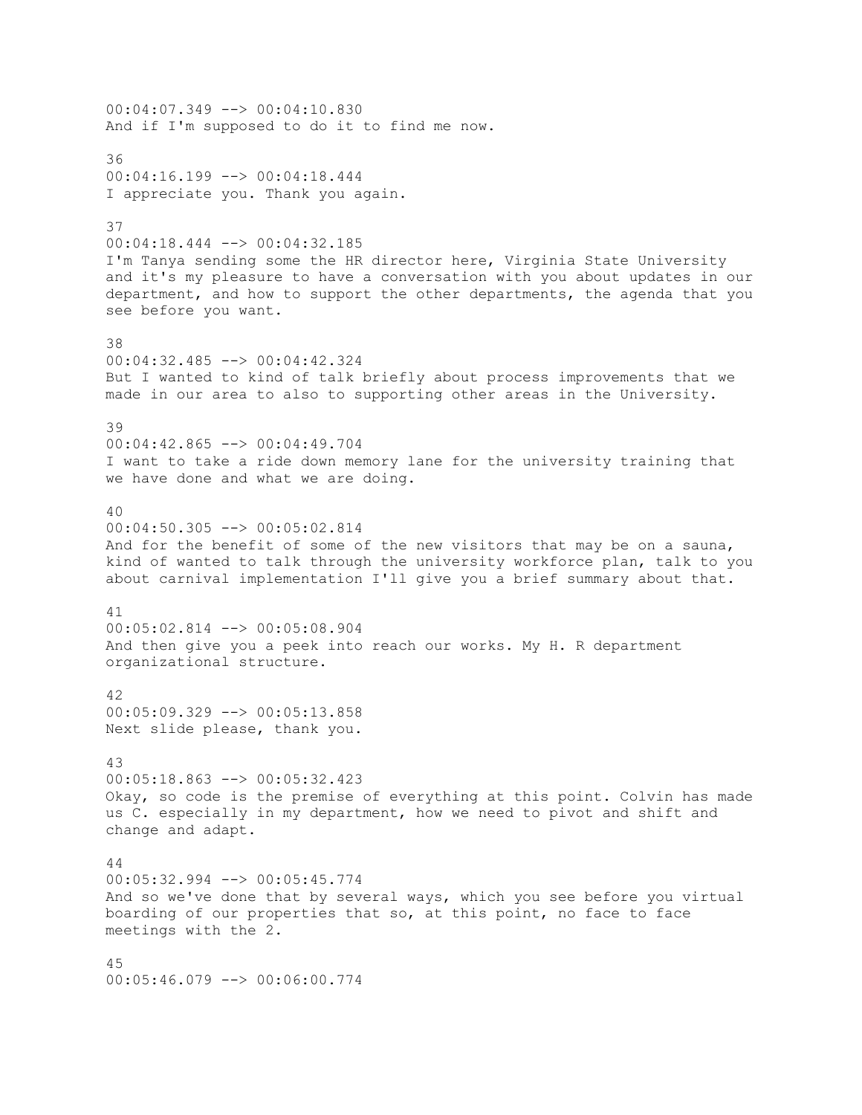00:04:07.349 --> 00:04:10.830 And if I'm supposed to do it to find me now. 36 00:04:16.199 --> 00:04:18.444 I appreciate you. Thank you again. 37 00:04:18.444 --> 00:04:32.185 I'm Tanya sending some the HR director here, Virginia State University and it's my pleasure to have a conversation with you about updates in our department, and how to support the other departments, the agenda that you see before you want. 38 00:04:32.485 --> 00:04:42.324 But I wanted to kind of talk briefly about process improvements that we made in our area to also to supporting other areas in the University. 39 00:04:42.865 --> 00:04:49.704 I want to take a ride down memory lane for the university training that we have done and what we are doing. 40 00:04:50.305 --> 00:05:02.814 And for the benefit of some of the new visitors that may be on a sauna, kind of wanted to talk through the university workforce plan, talk to you about carnival implementation I'll give you a brief summary about that. 41 00:05:02.814 --> 00:05:08.904 And then give you a peek into reach our works. My H. R department organizational structure. 42 00:05:09.329 --> 00:05:13.858 Next slide please, thank you. 43 00:05:18.863 --> 00:05:32.423 Okay, so code is the premise of everything at this point. Colvin has made us C. especially in my department, how we need to pivot and shift and change and adapt. 44 00:05:32.994 --> 00:05:45.774 And so we've done that by several ways, which you see before you virtual boarding of our properties that so, at this point, no face to face meetings with the 2. 45 00:05:46.079 --> 00:06:00.774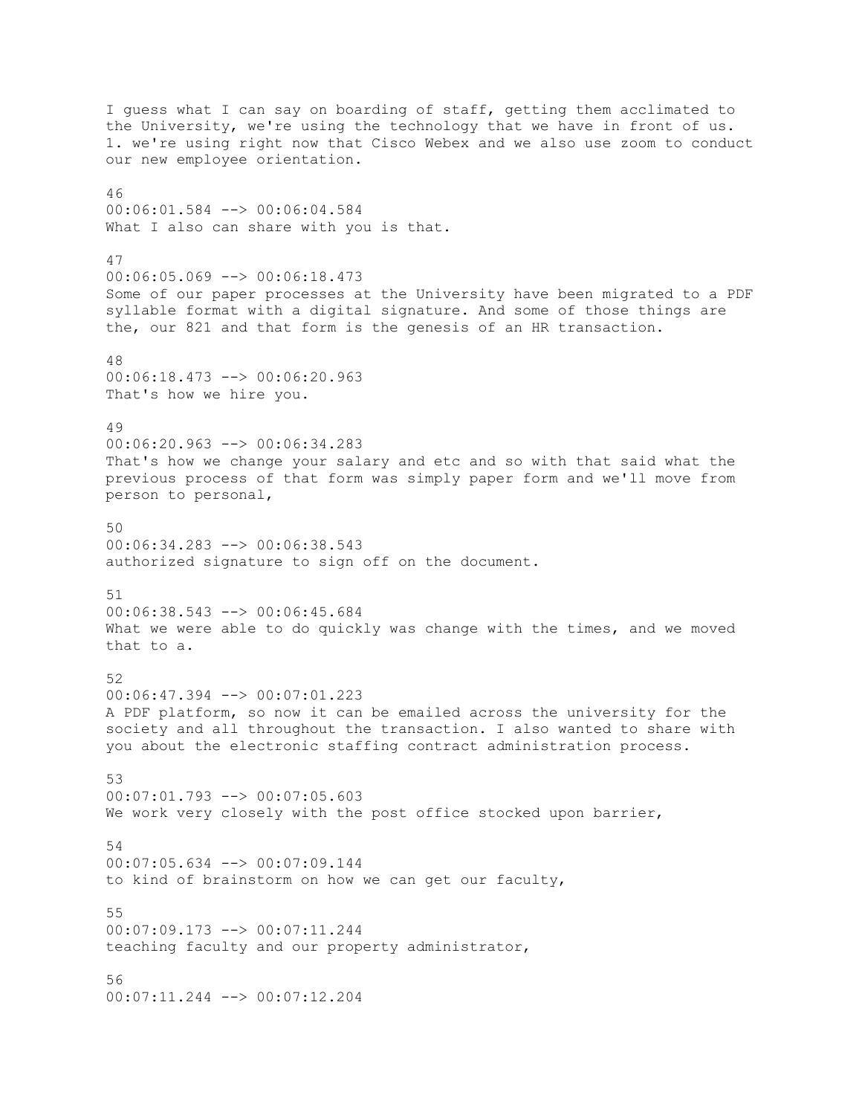I guess what I can say on boarding of staff, getting them acclimated to the University, we're using the technology that we have in front of us. 1. we're using right now that Cisco Webex and we also use zoom to conduct our new employee orientation. 46 00:06:01.584 --> 00:06:04.584 What I also can share with you is that. 47 00:06:05.069 --> 00:06:18.473 Some of our paper processes at the University have been migrated to a PDF syllable format with a digital signature. And some of those things are the, our 821 and that form is the genesis of an HR transaction. 48 00:06:18.473 --> 00:06:20.963 That's how we hire you. 49 00:06:20.963 --> 00:06:34.283 That's how we change your salary and etc and so with that said what the previous process of that form was simply paper form and we'll move from person to personal, 50 00:06:34.283 --> 00:06:38.543 authorized signature to sign off on the document. 51 00:06:38.543 --> 00:06:45.684 What we were able to do quickly was change with the times, and we moved that to a. 52 00:06:47.394 --> 00:07:01.223 A PDF platform, so now it can be emailed across the university for the society and all throughout the transaction. I also wanted to share with you about the electronic staffing contract administration process. 53 00:07:01.793 --> 00:07:05.603 We work very closely with the post office stocked upon barrier, 54 00:07:05.634 --> 00:07:09.144 to kind of brainstorm on how we can get our faculty, 55 00:07:09.173 --> 00:07:11.244 teaching faculty and our property administrator, 56 00:07:11.244 --> 00:07:12.204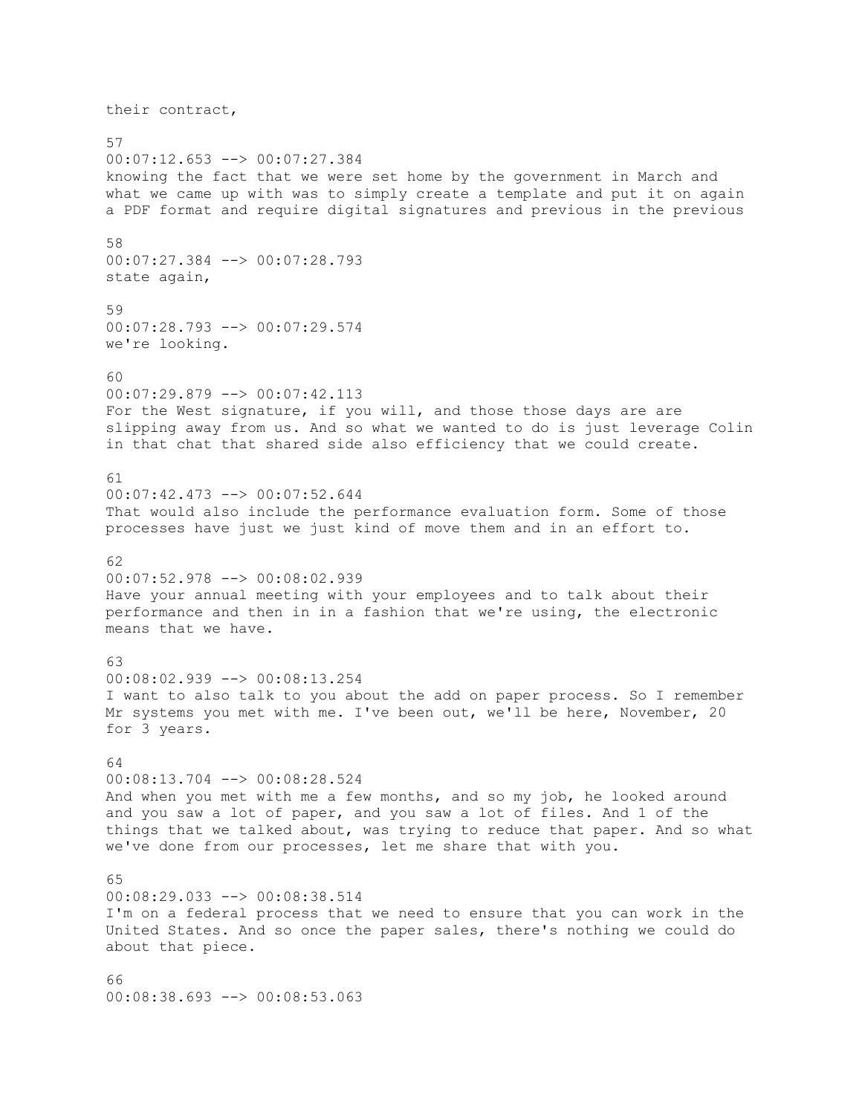their contract, 57 00:07:12.653 --> 00:07:27.384 knowing the fact that we were set home by the government in March and what we came up with was to simply create a template and put it on again a PDF format and require digital signatures and previous in the previous 58 00:07:27.384 --> 00:07:28.793 state again, 59 00:07:28.793 --> 00:07:29.574 we're looking. 60 00:07:29.879 --> 00:07:42.113 For the West signature, if you will, and those those days are are slipping away from us. And so what we wanted to do is just leverage Colin in that chat that shared side also efficiency that we could create. 61 00:07:42.473 --> 00:07:52.644 That would also include the performance evaluation form. Some of those processes have just we just kind of move them and in an effort to. 62 00:07:52.978 --> 00:08:02.939 Have your annual meeting with your employees and to talk about their performance and then in in a fashion that we're using, the electronic means that we have. 63 00:08:02.939 --> 00:08:13.254 I want to also talk to you about the add on paper process. So I remember Mr systems you met with me. I've been out, we'll be here, November, 20 for 3 years. 64 00:08:13.704 --> 00:08:28.524 And when you met with me a few months, and so my job, he looked around and you saw a lot of paper, and you saw a lot of files. And 1 of the things that we talked about, was trying to reduce that paper. And so what we've done from our processes, let me share that with you. 65 00:08:29.033 --> 00:08:38.514 I'm on a federal process that we need to ensure that you can work in the United States. And so once the paper sales, there's nothing we could do about that piece. 66

00:08:38.693 --> 00:08:53.063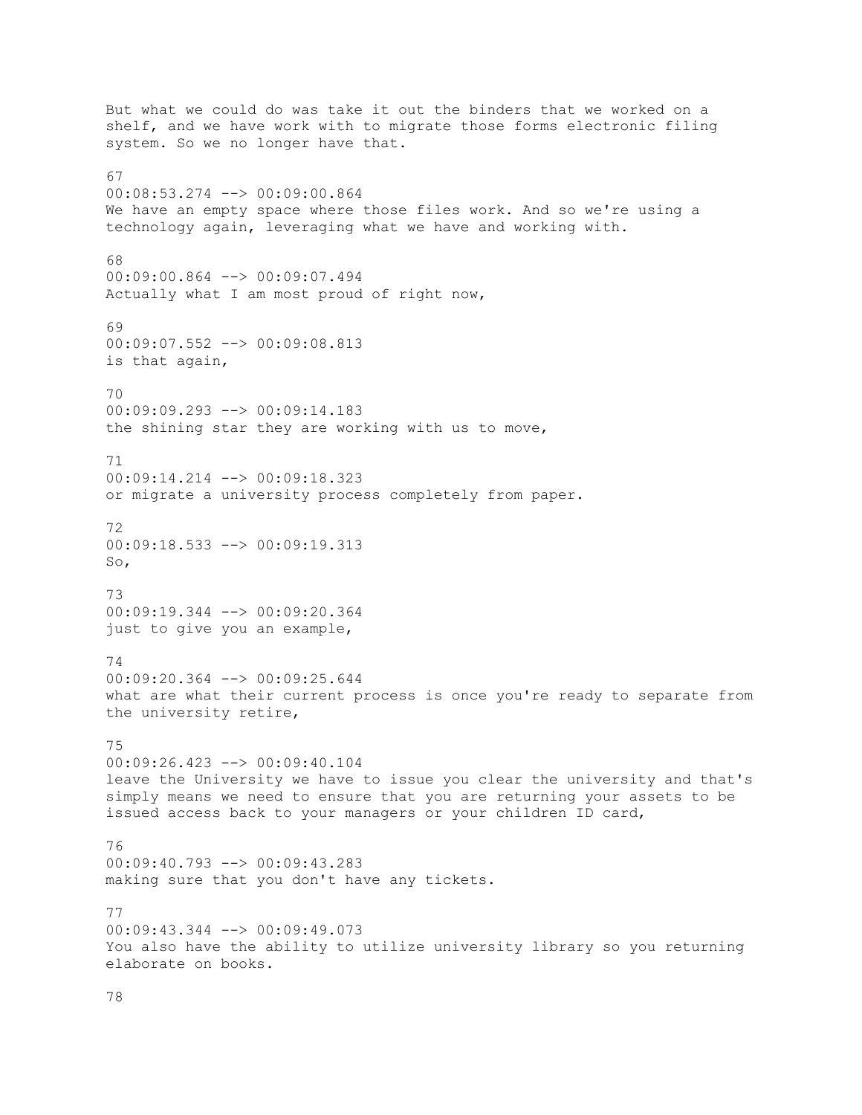But what we could do was take it out the binders that we worked on a shelf, and we have work with to migrate those forms electronic filing system. So we no longer have that. 67 00:08:53.274 --> 00:09:00.864 We have an empty space where those files work. And so we're using a technology again, leveraging what we have and working with. 68 00:09:00.864 --> 00:09:07.494 Actually what I am most proud of right now, 69 00:09:07.552 --> 00:09:08.813 is that again, 70 00:09:09.293 --> 00:09:14.183 the shining star they are working with us to move, 71 00:09:14.214 --> 00:09:18.323 or migrate a university process completely from paper. 72  $00:09:18.533$   $\longrightarrow 00:09:19.313$ So, 73 00:09:19.344 --> 00:09:20.364 just to give you an example, 74 00:09:20.364 --> 00:09:25.644 what are what their current process is once you're ready to separate from the university retire, 75 00:09:26.423 --> 00:09:40.104 leave the University we have to issue you clear the university and that's simply means we need to ensure that you are returning your assets to be issued access back to your managers or your children ID card, 76 00:09:40.793 --> 00:09:43.283 making sure that you don't have any tickets. 77 00:09:43.344 --> 00:09:49.073 You also have the ability to utilize university library so you returning elaborate on books.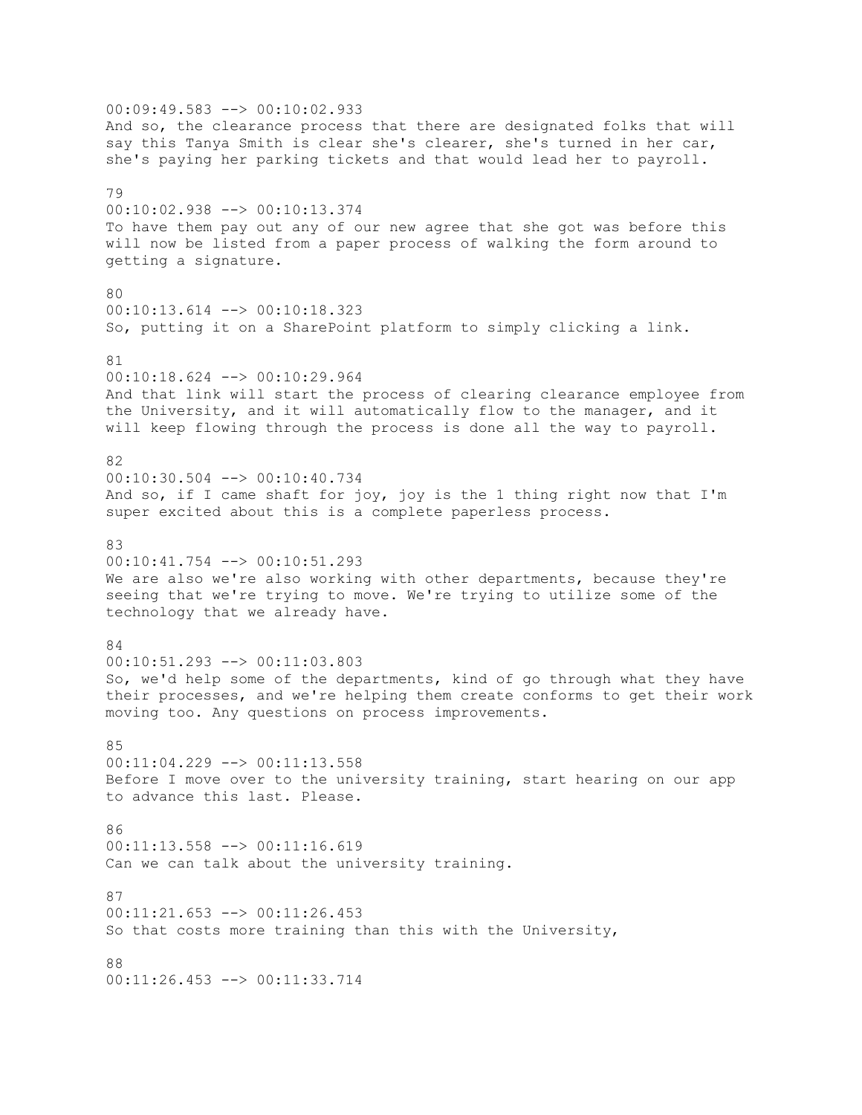00:09:49.583 --> 00:10:02.933 And so, the clearance process that there are designated folks that will say this Tanya Smith is clear she's clearer, she's turned in her car, she's paying her parking tickets and that would lead her to payroll. 79 00:10:02.938 --> 00:10:13.374 To have them pay out any of our new agree that she got was before this will now be listed from a paper process of walking the form around to getting a signature. 80 00:10:13.614 --> 00:10:18.323 So, putting it on a SharePoint platform to simply clicking a link. 81 00:10:18.624 --> 00:10:29.964 And that link will start the process of clearing clearance employee from the University, and it will automatically flow to the manager, and it will keep flowing through the process is done all the way to payroll. 82 00:10:30.504 --> 00:10:40.734 And so, if I came shaft for joy, joy is the 1 thing right now that I'm super excited about this is a complete paperless process. 83 00:10:41.754 --> 00:10:51.293 We are also we're also working with other departments, because they're seeing that we're trying to move. We're trying to utilize some of the technology that we already have. 84  $00:10:51.293$   $\rightarrow$   $00:11:03.803$ So, we'd help some of the departments, kind of go through what they have their processes, and we're helping them create conforms to get their work moving too. Any questions on process improvements. 85 00:11:04.229 --> 00:11:13.558 Before I move over to the university training, start hearing on our app to advance this last. Please. 86  $00:11:13.558$  -->  $00:11:16.619$ Can we can talk about the university training. 87 00:11:21.653 --> 00:11:26.453 So that costs more training than this with the University, 88 00:11:26.453 --> 00:11:33.714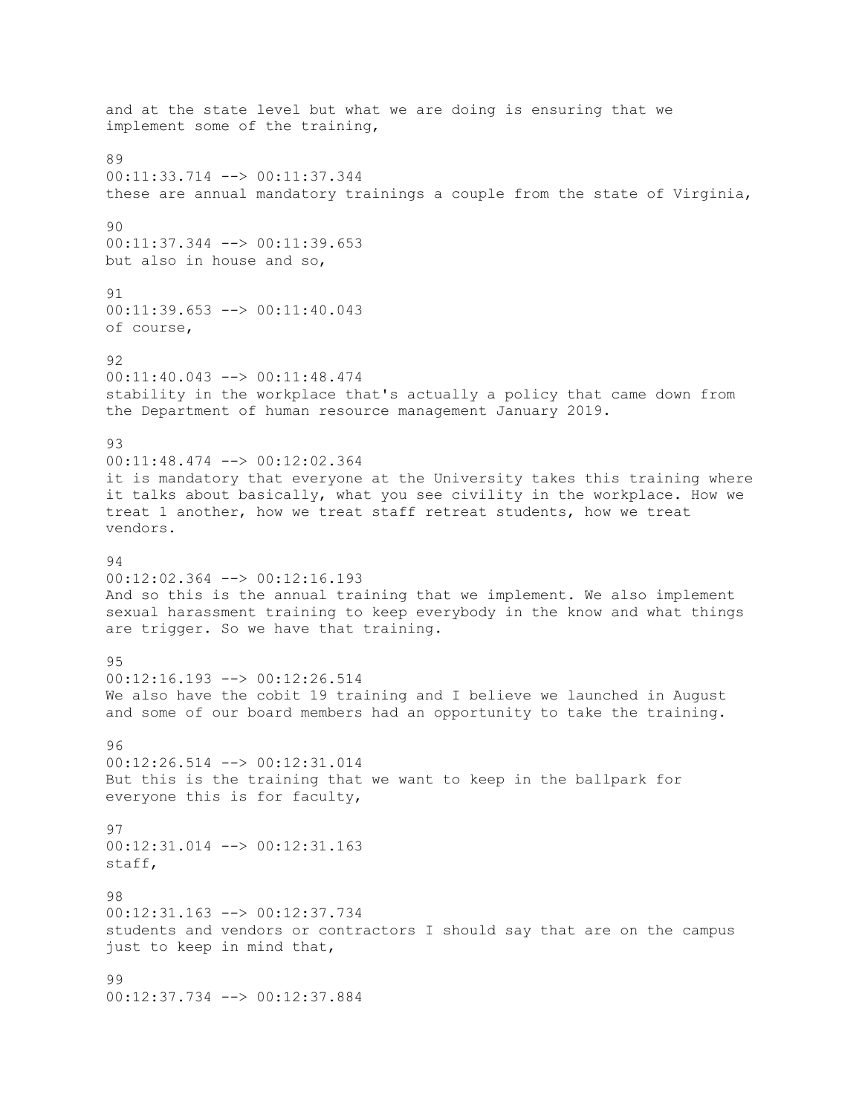and at the state level but what we are doing is ensuring that we implement some of the training, 89 00:11:33.714 --> 00:11:37.344 these are annual mandatory trainings a couple from the state of Virginia, 90 00:11:37.344 --> 00:11:39.653 but also in house and so, 91 00:11:39.653 --> 00:11:40.043 of course, 92 00:11:40.043 --> 00:11:48.474 stability in the workplace that's actually a policy that came down from the Department of human resource management January 2019. 93 00:11:48.474 --> 00:12:02.364 it is mandatory that everyone at the University takes this training where it talks about basically, what you see civility in the workplace. How we treat 1 another, how we treat staff retreat students, how we treat vendors. 94 00:12:02.364 --> 00:12:16.193 And so this is the annual training that we implement. We also implement sexual harassment training to keep everybody in the know and what things are trigger. So we have that training. 95 00:12:16.193 --> 00:12:26.514 We also have the cobit 19 training and I believe we launched in August and some of our board members had an opportunity to take the training. 96 00:12:26.514 --> 00:12:31.014 But this is the training that we want to keep in the ballpark for everyone this is for faculty, 97 00:12:31.014 --> 00:12:31.163 staff, 98 00:12:31.163 --> 00:12:37.734 students and vendors or contractors I should say that are on the campus just to keep in mind that, 99 00:12:37.734 --> 00:12:37.884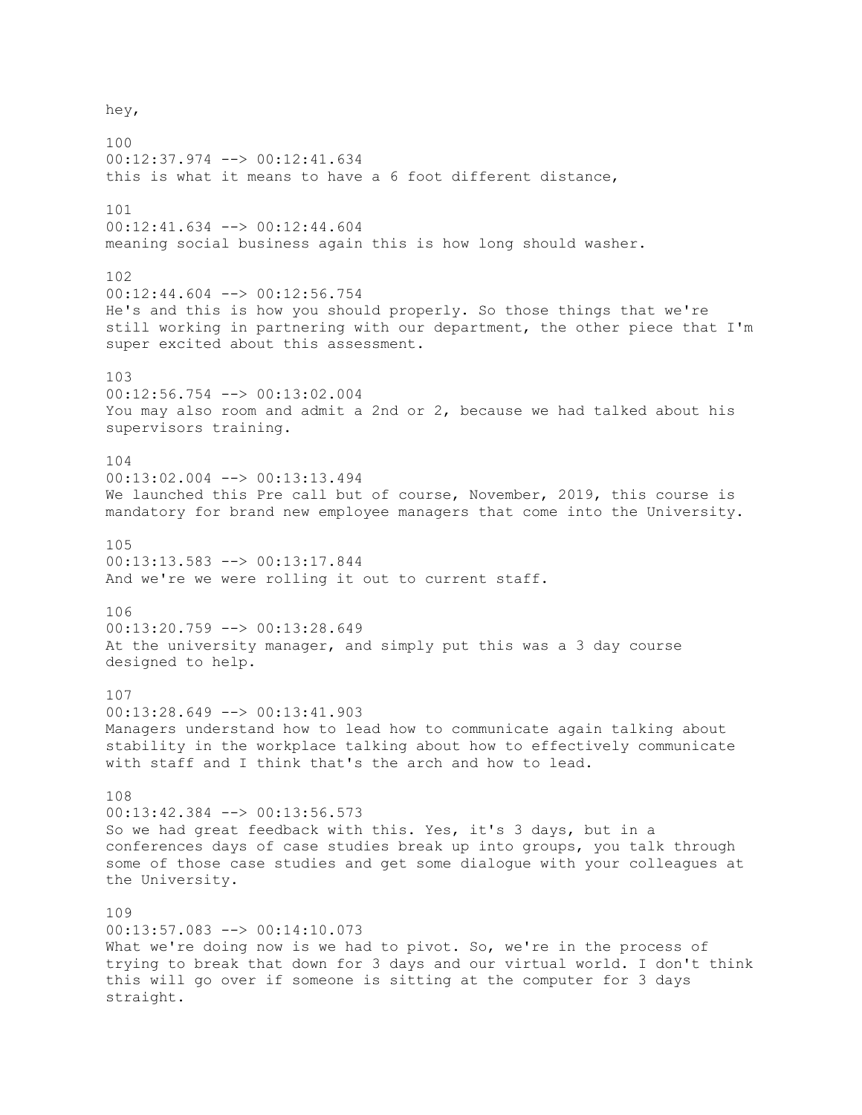hey, 100 00:12:37.974 --> 00:12:41.634 this is what it means to have a 6 foot different distance, 101 00:12:41.634 --> 00:12:44.604 meaning social business again this is how long should washer. 102 00:12:44.604 --> 00:12:56.754 He's and this is how you should properly. So those things that we're still working in partnering with our department, the other piece that I'm super excited about this assessment. 103 00:12:56.754 --> 00:13:02.004 You may also room and admit a 2nd or 2, because we had talked about his supervisors training. 104 00:13:02.004 --> 00:13:13.494 We launched this Pre call but of course, November, 2019, this course is mandatory for brand new employee managers that come into the University. 105 00:13:13.583 --> 00:13:17.844 And we're we were rolling it out to current staff. 106 00:13:20.759 --> 00:13:28.649 At the university manager, and simply put this was a 3 day course designed to help. 107 00:13:28.649 --> 00:13:41.903 Managers understand how to lead how to communicate again talking about stability in the workplace talking about how to effectively communicate with staff and I think that's the arch and how to lead. 108 00:13:42.384 --> 00:13:56.573 So we had great feedback with this. Yes, it's 3 days, but in a conferences days of case studies break up into groups, you talk through some of those case studies and get some dialogue with your colleagues at the University. 109 00:13:57.083 --> 00:14:10.073 What we're doing now is we had to pivot. So, we're in the process of trying to break that down for 3 days and our virtual world. I don't think this will go over if someone is sitting at the computer for 3 days straight.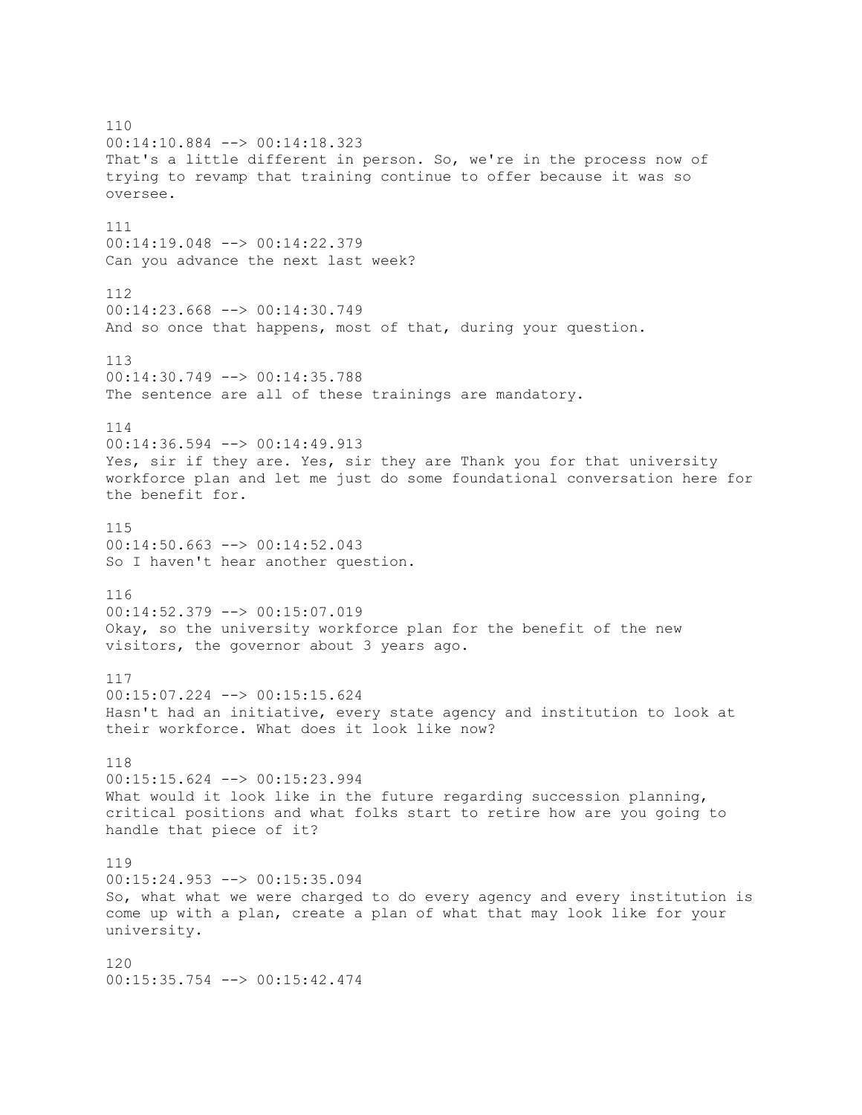110 00:14:10.884 --> 00:14:18.323 That's a little different in person. So, we're in the process now of trying to revamp that training continue to offer because it was so oversee. 111 00:14:19.048 --> 00:14:22.379 Can you advance the next last week? 112  $00:14:23.668$  -->  $00:14:30.749$ And so once that happens, most of that, during your question. 113 00:14:30.749 --> 00:14:35.788 The sentence are all of these trainings are mandatory. 114 00:14:36.594 --> 00:14:49.913 Yes, sir if they are. Yes, sir they are Thank you for that university workforce plan and let me just do some foundational conversation here for the benefit for. 115 00:14:50.663 --> 00:14:52.043 So I haven't hear another question. 116 00:14:52.379 --> 00:15:07.019 Okay, so the university workforce plan for the benefit of the new visitors, the governor about 3 years ago. 117 00:15:07.224 --> 00:15:15.624 Hasn't had an initiative, every state agency and institution to look at their workforce. What does it look like now? 118 00:15:15.624 --> 00:15:23.994 What would it look like in the future regarding succession planning, critical positions and what folks start to retire how are you going to handle that piece of it? 119 00:15:24.953 --> 00:15:35.094 So, what what we were charged to do every agency and every institution is come up with a plan, create a plan of what that may look like for your university. 120 00:15:35.754 --> 00:15:42.474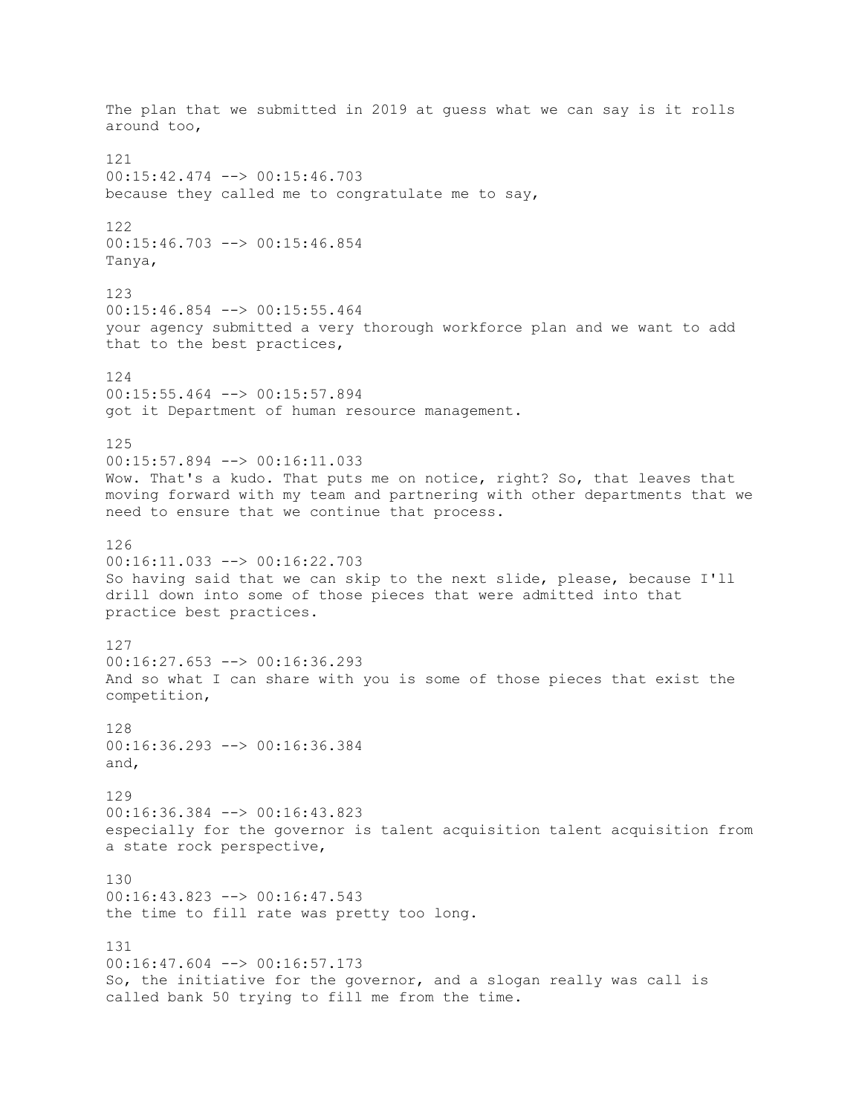The plan that we submitted in 2019 at guess what we can say is it rolls around too, 121 00:15:42.474 --> 00:15:46.703 because they called me to congratulate me to say, 122 00:15:46.703 --> 00:15:46.854 Tanya, 123 00:15:46.854 --> 00:15:55.464 your agency submitted a very thorough workforce plan and we want to add that to the best practices, 124 00:15:55.464 --> 00:15:57.894 got it Department of human resource management. 125 00:15:57.894 --> 00:16:11.033 Wow. That's a kudo. That puts me on notice, right? So, that leaves that moving forward with my team and partnering with other departments that we need to ensure that we continue that process. 126 00:16:11.033 --> 00:16:22.703 So having said that we can skip to the next slide, please, because I'll drill down into some of those pieces that were admitted into that practice best practices. 127  $00:16:27.653$  -->  $00:16:36.293$ And so what I can share with you is some of those pieces that exist the competition, 128 00:16:36.293 --> 00:16:36.384 and, 129 00:16:36.384 --> 00:16:43.823 especially for the governor is talent acquisition talent acquisition from a state rock perspective, 130 00:16:43.823 --> 00:16:47.543 the time to fill rate was pretty too long. 131  $00:16:47.604$  -->  $00:16:57.173$ So, the initiative for the governor, and a slogan really was call is called bank 50 trying to fill me from the time.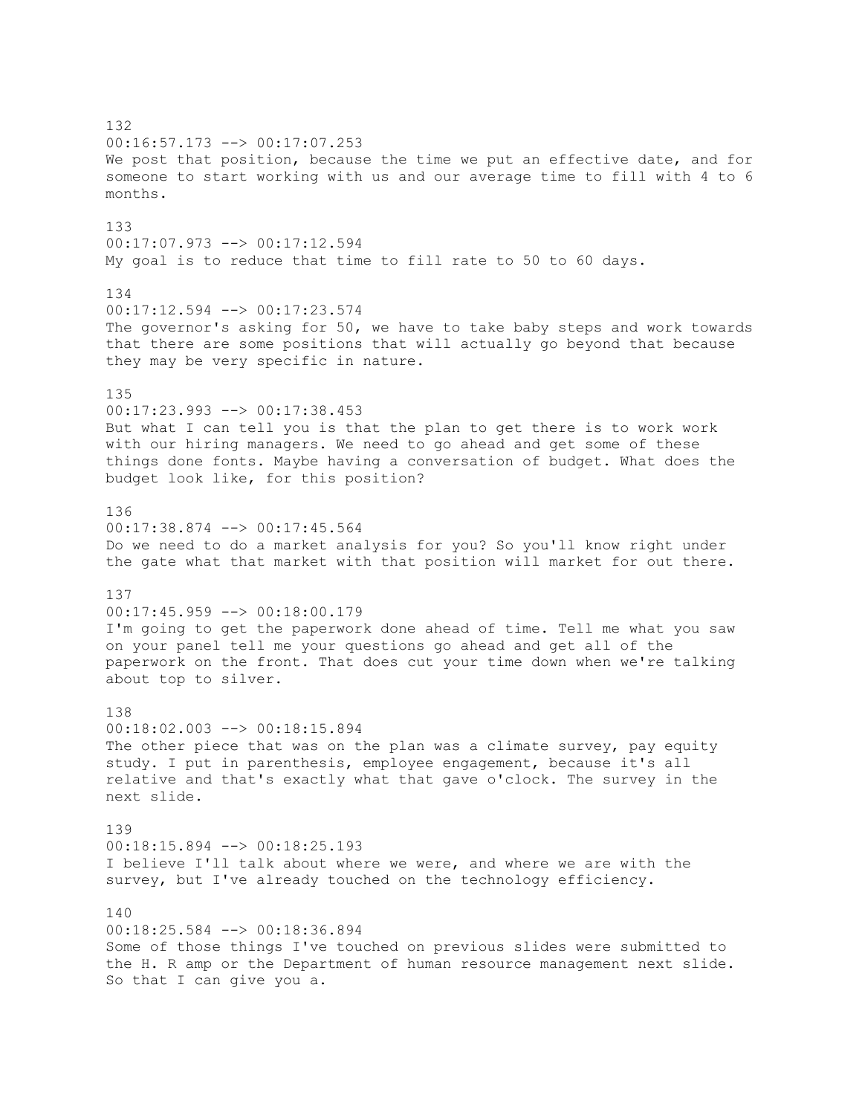132 00:16:57.173 --> 00:17:07.253 We post that position, because the time we put an effective date, and for someone to start working with us and our average time to fill with 4 to 6 months. 133 00:17:07.973 --> 00:17:12.594 My goal is to reduce that time to fill rate to 50 to 60 days. 134 00:17:12.594 --> 00:17:23.574 The governor's asking for 50, we have to take baby steps and work towards that there are some positions that will actually go beyond that because they may be very specific in nature. 135 00:17:23.993 --> 00:17:38.453 But what I can tell you is that the plan to get there is to work work with our hiring managers. We need to go ahead and get some of these things done fonts. Maybe having a conversation of budget. What does the budget look like, for this position? 136 00:17:38.874 --> 00:17:45.564 Do we need to do a market analysis for you? So you'll know right under the gate what that market with that position will market for out there. 137 00:17:45.959 --> 00:18:00.179 I'm going to get the paperwork done ahead of time. Tell me what you saw on your panel tell me your questions go ahead and get all of the paperwork on the front. That does cut your time down when we're talking about top to silver. 138 00:18:02.003 --> 00:18:15.894 The other piece that was on the plan was a climate survey, pay equity study. I put in parenthesis, employee engagement, because it's all relative and that's exactly what that gave o'clock. The survey in the next slide. 139 00:18:15.894 --> 00:18:25.193 I believe I'll talk about where we were, and where we are with the survey, but I've already touched on the technology efficiency.  $140$ 00:18:25.584 --> 00:18:36.894 Some of those things I've touched on previous slides were submitted to the H. R amp or the Department of human resource management next slide. So that I can give you a.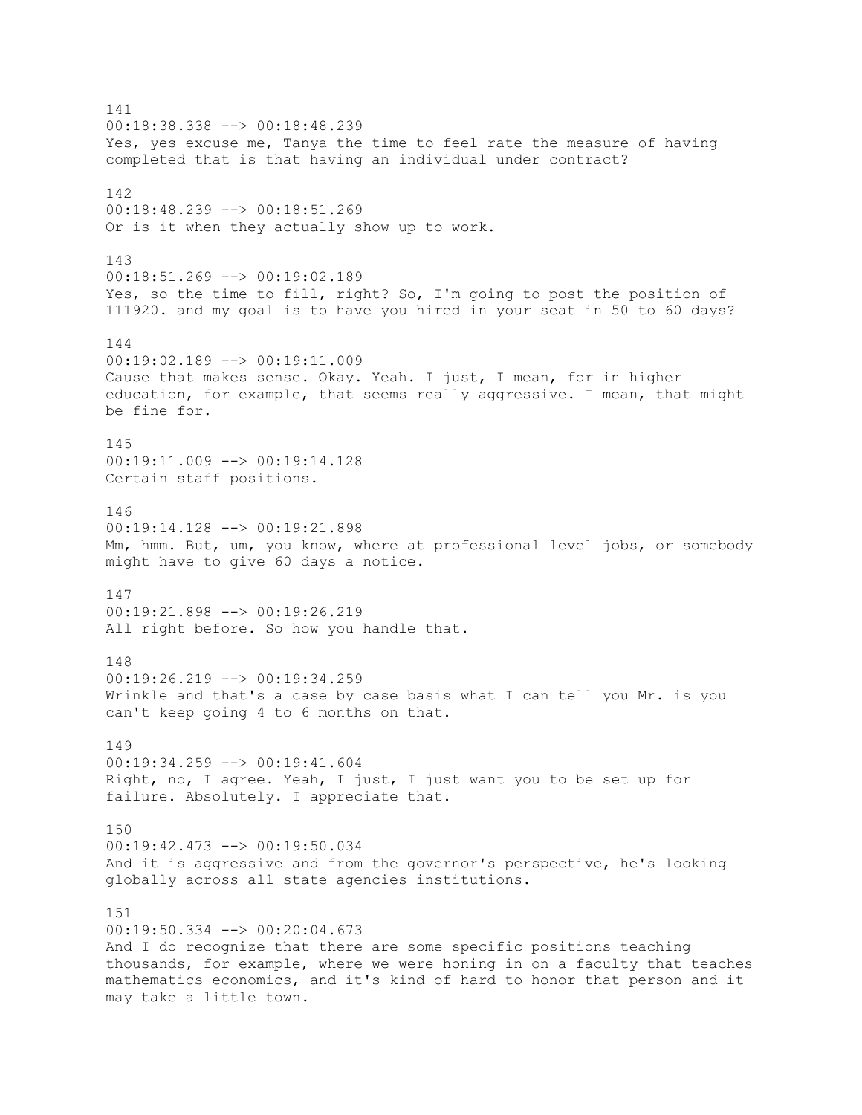141 00:18:38.338 --> 00:18:48.239 Yes, yes excuse me, Tanya the time to feel rate the measure of having completed that is that having an individual under contract? 142 00:18:48.239 --> 00:18:51.269 Or is it when they actually show up to work. 143 00:18:51.269 --> 00:19:02.189 Yes, so the time to fill, right? So, I'm going to post the position of 111920. and my goal is to have you hired in your seat in 50 to 60 days? 144 00:19:02.189 --> 00:19:11.009 Cause that makes sense. Okay. Yeah. I just, I mean, for in higher education, for example, that seems really aggressive. I mean, that might be fine for. 145 00:19:11.009 --> 00:19:14.128 Certain staff positions. 146 00:19:14.128 --> 00:19:21.898 Mm, hmm. But, um, you know, where at professional level jobs, or somebody might have to give 60 days a notice. 147 00:19:21.898 --> 00:19:26.219 All right before. So how you handle that. 148 00:19:26.219 --> 00:19:34.259 Wrinkle and that's a case by case basis what I can tell you Mr. is you can't keep going 4 to 6 months on that. 149 00:19:34.259 --> 00:19:41.604 Right, no, I agree. Yeah, I just, I just want you to be set up for failure. Absolutely. I appreciate that. 150 00:19:42.473 --> 00:19:50.034 And it is aggressive and from the governor's perspective, he's looking globally across all state agencies institutions. 151  $00:19:50.334$   $\leftarrow$   $>$  00:20:04.673 And I do recognize that there are some specific positions teaching thousands, for example, where we were honing in on a faculty that teaches mathematics economics, and it's kind of hard to honor that person and it may take a little town.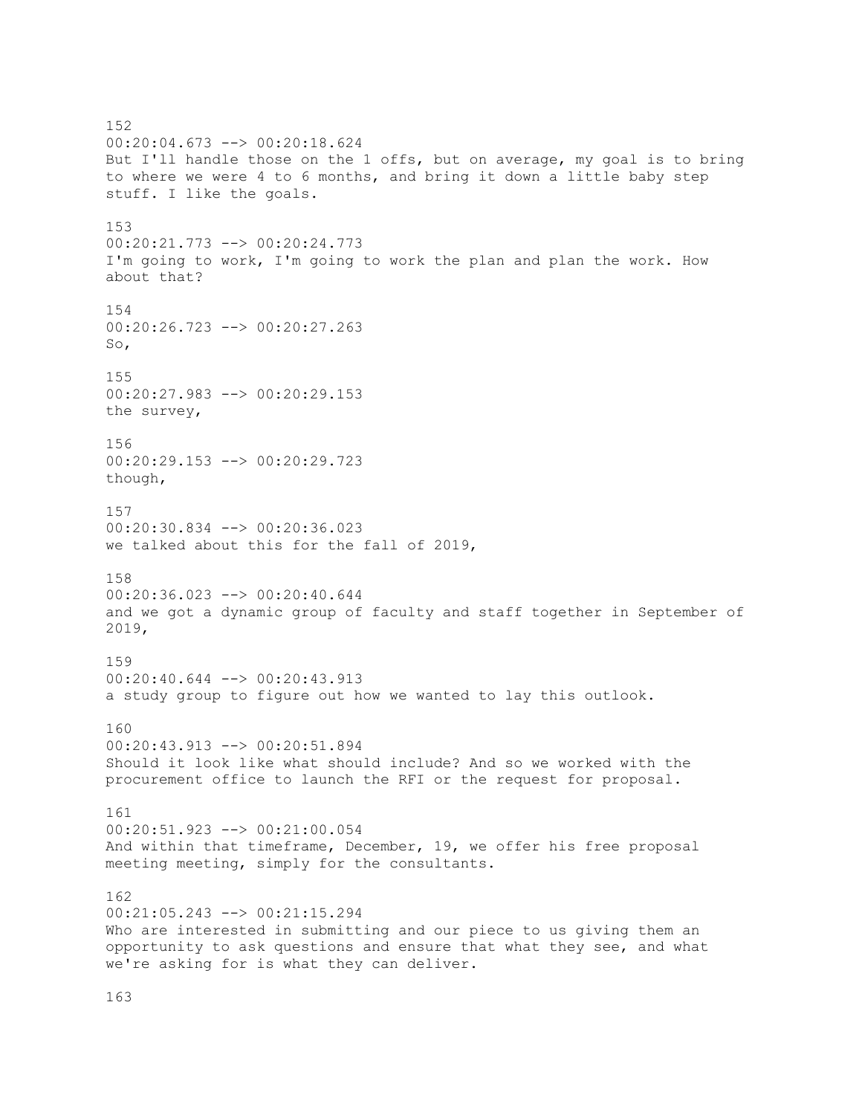152 00:20:04.673 --> 00:20:18.624 But I'll handle those on the 1 offs, but on average, my goal is to bring to where we were 4 to 6 months, and bring it down a little baby step stuff. I like the goals. 153 00:20:21.773 --> 00:20:24.773 I'm going to work, I'm going to work the plan and plan the work. How about that? 154 00:20:26.723 --> 00:20:27.263 So, 155 00:20:27.983 --> 00:20:29.153 the survey, 156 00:20:29.153 --> 00:20:29.723 though, 157 00:20:30.834 --> 00:20:36.023 we talked about this for the fall of 2019, 158 00:20:36.023 --> 00:20:40.644 and we got a dynamic group of faculty and staff together in September of 2019, 159 00:20:40.644 --> 00:20:43.913 a study group to figure out how we wanted to lay this outlook. 160 00:20:43.913 --> 00:20:51.894 Should it look like what should include? And so we worked with the procurement office to launch the RFI or the request for proposal. 161 00:20:51.923 --> 00:21:00.054 And within that timeframe, December, 19, we offer his free proposal meeting meeting, simply for the consultants. 162 00:21:05.243 --> 00:21:15.294 Who are interested in submitting and our piece to us giving them an opportunity to ask questions and ensure that what they see, and what we're asking for is what they can deliver.

163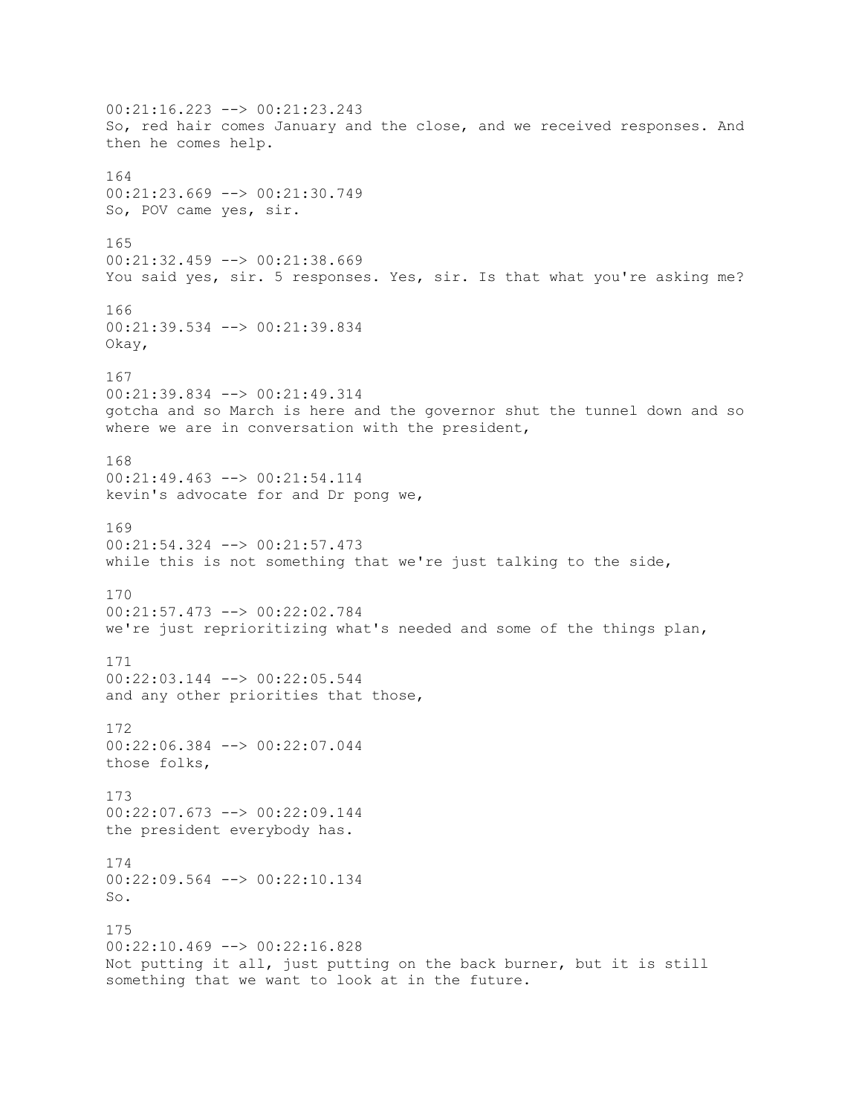00:21:16.223 --> 00:21:23.243 So, red hair comes January and the close, and we received responses. And then he comes help. 164 00:21:23.669 --> 00:21:30.749 So, POV came yes, sir. 165 00:21:32.459 --> 00:21:38.669 You said yes, sir. 5 responses. Yes, sir. Is that what you're asking me? 166 00:21:39.534 --> 00:21:39.834 Okay, 167 00:21:39.834 --> 00:21:49.314 gotcha and so March is here and the governor shut the tunnel down and so where we are in conversation with the president, 168 00:21:49.463 --> 00:21:54.114 kevin's advocate for and Dr pong we, 169  $00:21:54.324$  -->  $00:21:57.473$ while this is not something that we're just talking to the side, 170 00:21:57.473 --> 00:22:02.784 we're just reprioritizing what's needed and some of the things plan, 171 00:22:03.144 --> 00:22:05.544 and any other priorities that those, 172 00:22:06.384 --> 00:22:07.044 those folks, 173 00:22:07.673 --> 00:22:09.144 the president everybody has. 174 00:22:09.564 --> 00:22:10.134 So. 175 00:22:10.469 --> 00:22:16.828 Not putting it all, just putting on the back burner, but it is still something that we want to look at in the future.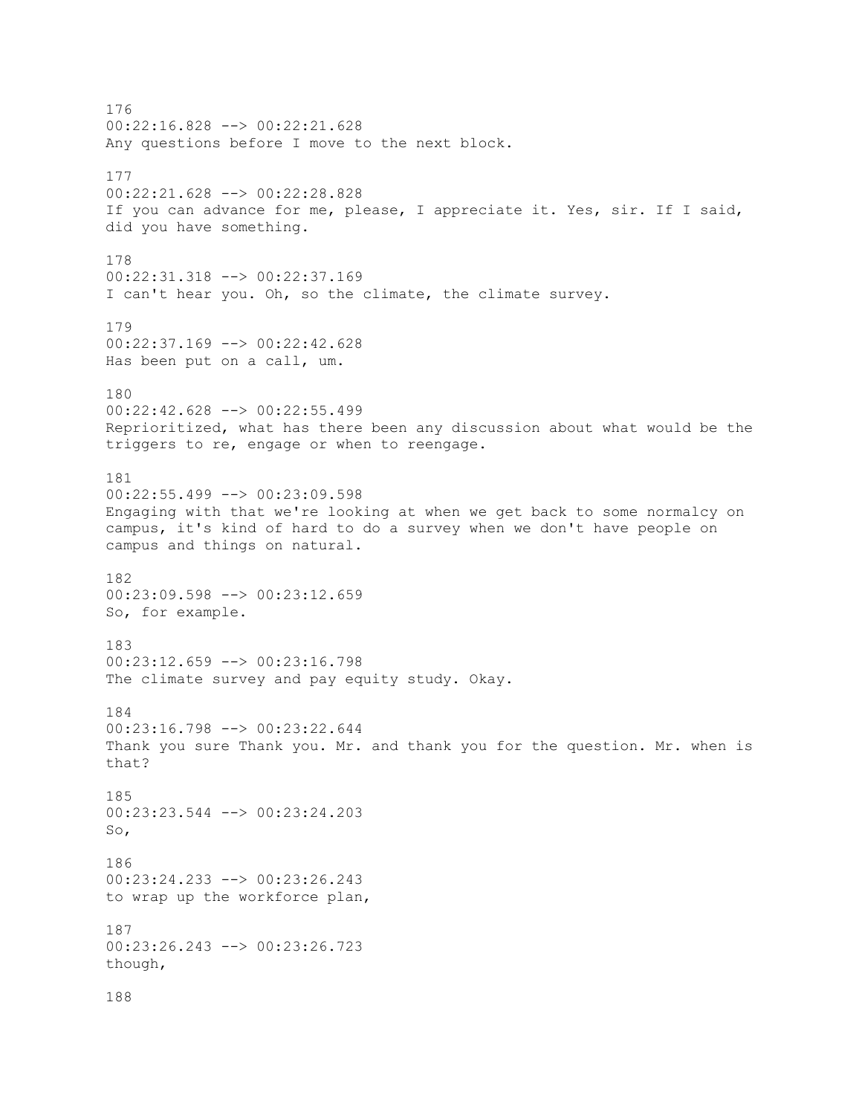176 00:22:16.828 --> 00:22:21.628 Any questions before I move to the next block. 177 00:22:21.628 --> 00:22:28.828 If you can advance for me, please, I appreciate it. Yes, sir. If I said, did you have something. 178 00:22:31.318 --> 00:22:37.169 I can't hear you. Oh, so the climate, the climate survey. 179 00:22:37.169 --> 00:22:42.628 Has been put on a call, um. 180 00:22:42.628 --> 00:22:55.499 Reprioritized, what has there been any discussion about what would be the triggers to re, engage or when to reengage. 181 00:22:55.499 --> 00:23:09.598 Engaging with that we're looking at when we get back to some normalcy on campus, it's kind of hard to do a survey when we don't have people on campus and things on natural. 182 00:23:09.598 --> 00:23:12.659 So, for example. 183  $00:23:12.659$  -->  $00:23:16.798$ The climate survey and pay equity study. Okay. 184  $00:23:16.798$  -->  $00:23:22.644$ Thank you sure Thank you. Mr. and thank you for the question. Mr. when is that? 185 00:23:23.544 --> 00:23:24.203 So, 186 00:23:24.233 --> 00:23:26.243 to wrap up the workforce plan, 187 00:23:26.243 --> 00:23:26.723 though, 188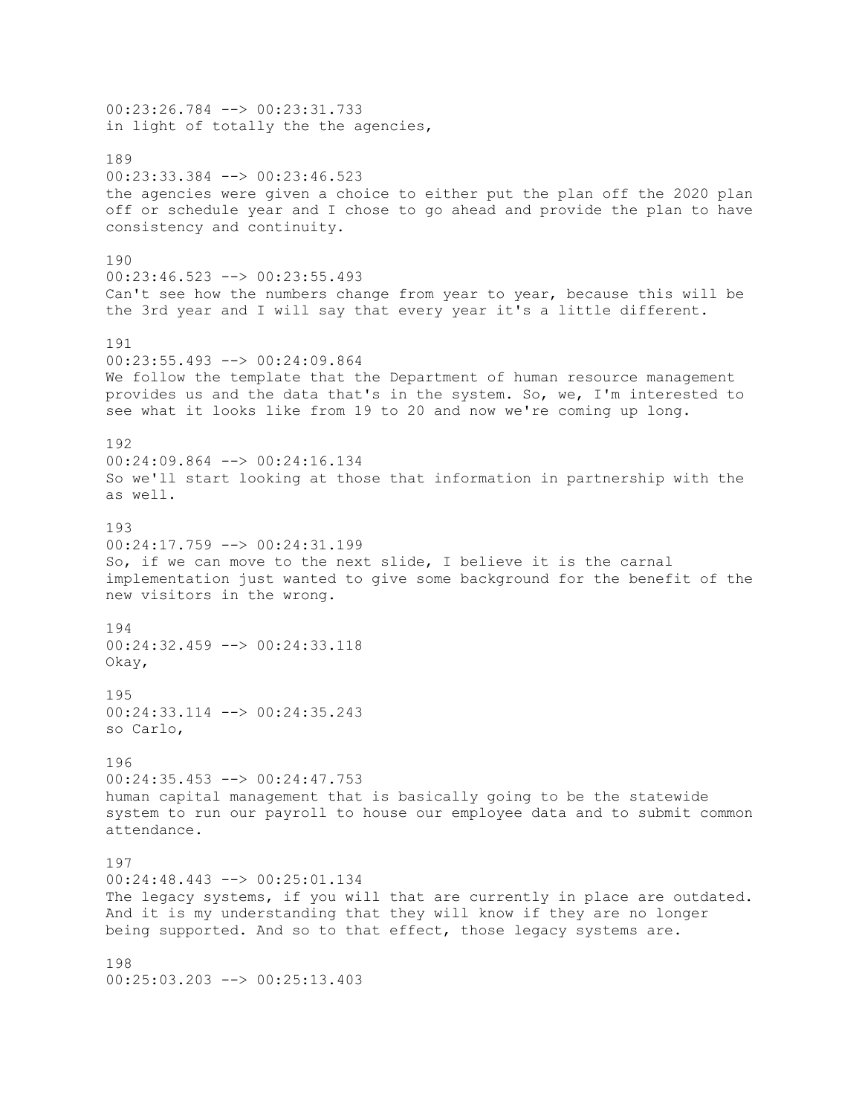00:23:26.784 --> 00:23:31.733 in light of totally the the agencies, 189 00:23:33.384 --> 00:23:46.523 the agencies were given a choice to either put the plan off the 2020 plan off or schedule year and I chose to go ahead and provide the plan to have consistency and continuity. 190 00:23:46.523 --> 00:23:55.493 Can't see how the numbers change from year to year, because this will be the 3rd year and I will say that every year it's a little different. 191 00:23:55.493 --> 00:24:09.864 We follow the template that the Department of human resource management provides us and the data that's in the system. So, we, I'm interested to see what it looks like from 19 to 20 and now we're coming up long. 192 00:24:09.864 --> 00:24:16.134 So we'll start looking at those that information in partnership with the as well. 193  $00:24:17.759$  -->  $00:24:31.199$ So, if we can move to the next slide, I believe it is the carnal implementation just wanted to give some background for the benefit of the new visitors in the wrong. 194 00:24:32.459 --> 00:24:33.118 Okay, 195 00:24:33.114 --> 00:24:35.243 so Carlo, 196 00:24:35.453 --> 00:24:47.753 human capital management that is basically going to be the statewide system to run our payroll to house our employee data and to submit common attendance. 197 00:24:48.443 --> 00:25:01.134 The legacy systems, if you will that are currently in place are outdated. And it is my understanding that they will know if they are no longer being supported. And so to that effect, those legacy systems are. 198 00:25:03.203 --> 00:25:13.403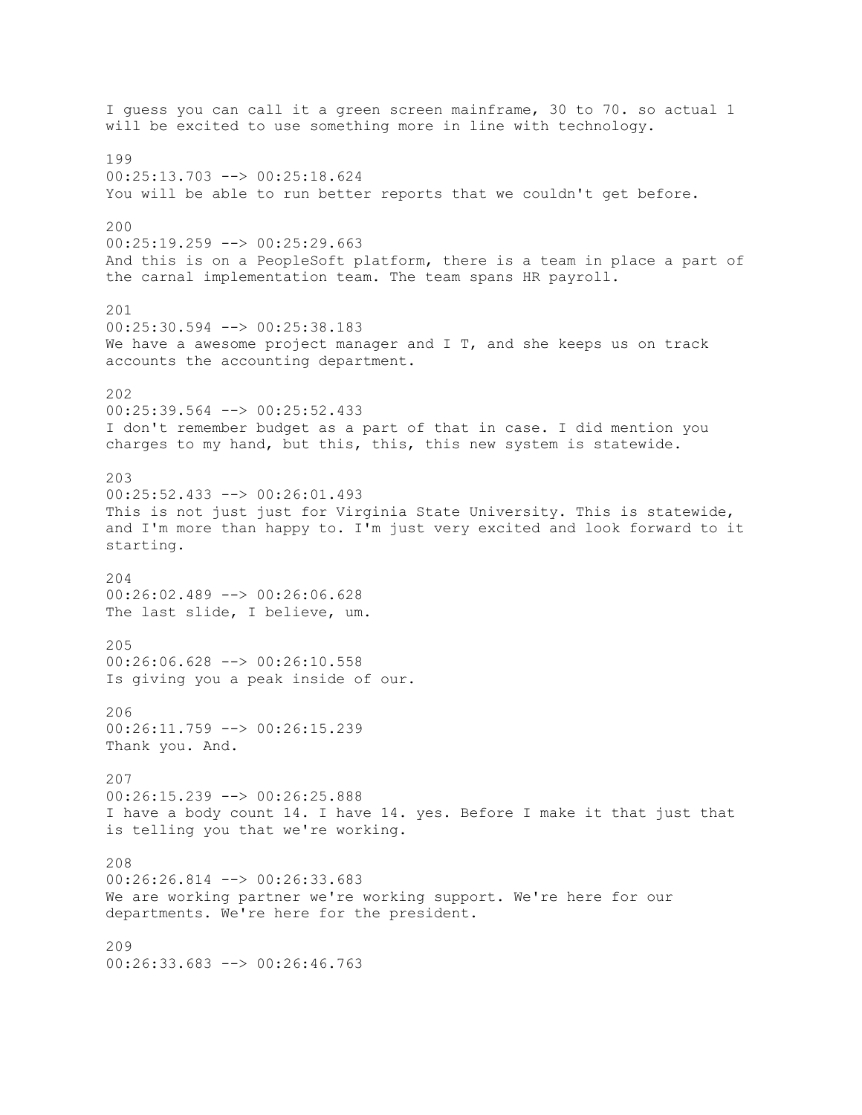I guess you can call it a green screen mainframe, 30 to 70. so actual 1 will be excited to use something more in line with technology. 199 00:25:13.703 --> 00:25:18.624 You will be able to run better reports that we couldn't get before. 200  $00:25:19.259$  -->  $00:25:29.663$ And this is on a PeopleSoft platform, there is a team in place a part of the carnal implementation team. The team spans HR payroll. 201 00:25:30.594 --> 00:25:38.183 We have a awesome project manager and  $I$  T, and she keeps us on track accounts the accounting department. 202 00:25:39.564 --> 00:25:52.433 I don't remember budget as a part of that in case. I did mention you charges to my hand, but this, this, this new system is statewide. 203 00:25:52.433 --> 00:26:01.493 This is not just just for Virginia State University. This is statewide, and I'm more than happy to. I'm just very excited and look forward to it starting. 204 00:26:02.489 --> 00:26:06.628 The last slide, I believe, um. 205  $00:26:06.628$  -->  $00:26:10.558$ Is giving you a peak inside of our.  $206$ 00:26:11.759 --> 00:26:15.239 Thank you. And. 207 00:26:15.239 --> 00:26:25.888 I have a body count 14. I have 14. yes. Before I make it that just that is telling you that we're working. 208 00:26:26.814 --> 00:26:33.683 We are working partner we're working support. We're here for our departments. We're here for the president. 209 00:26:33.683 --> 00:26:46.763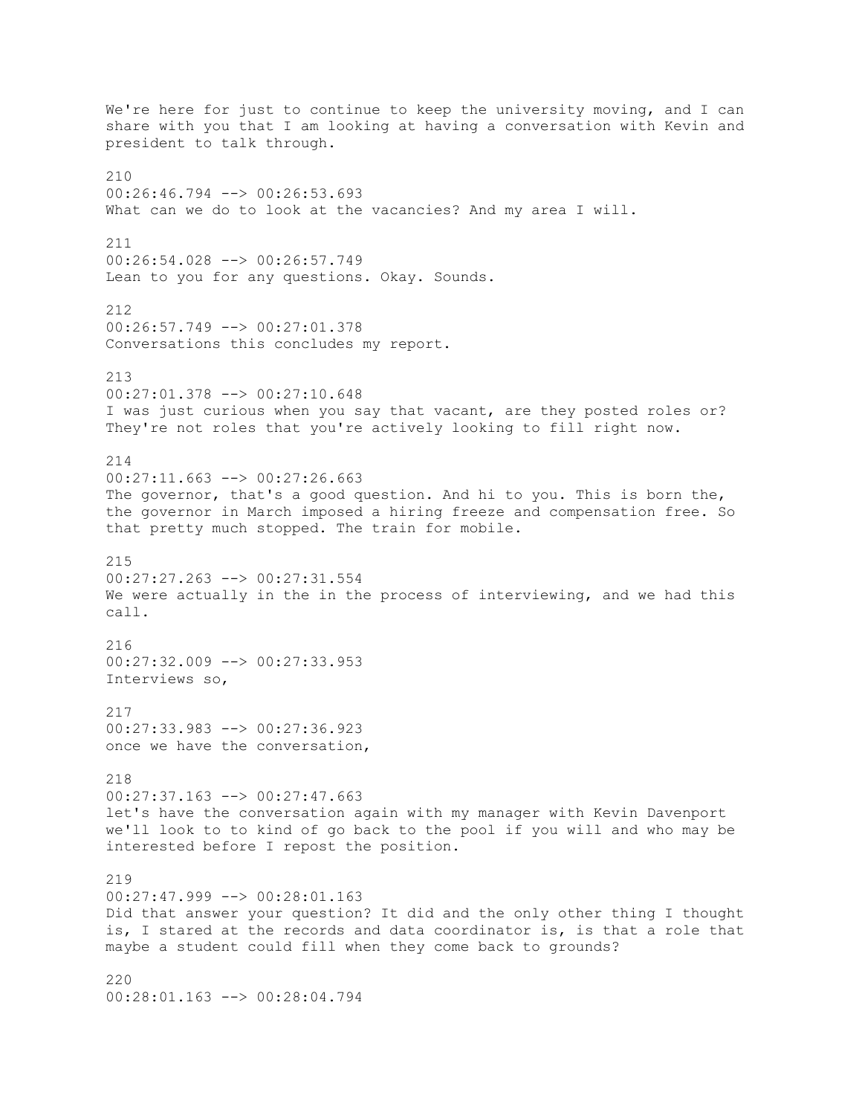We're here for just to continue to keep the university moving, and I can share with you that I am looking at having a conversation with Kevin and president to talk through. 210 00:26:46.794 --> 00:26:53.693 What can we do to look at the vacancies? And my area I will. 211 00:26:54.028 --> 00:26:57.749 Lean to you for any questions. Okay. Sounds. 212 00:26:57.749 --> 00:27:01.378 Conversations this concludes my report. 213 00:27:01.378 --> 00:27:10.648 I was just curious when you say that vacant, are they posted roles or? They're not roles that you're actively looking to fill right now. 214 00:27:11.663 --> 00:27:26.663 The governor, that's a good question. And hi to you. This is born the, the governor in March imposed a hiring freeze and compensation free. So that pretty much stopped. The train for mobile. 215 00:27:27.263 --> 00:27:31.554 We were actually in the in the process of interviewing, and we had this call. 216  $00:27:32.009$   $\rightarrow$   $00:27:33.953$ Interviews so, 217 00:27:33.983 --> 00:27:36.923 once we have the conversation, 218 00:27:37.163 --> 00:27:47.663 let's have the conversation again with my manager with Kevin Davenport we'll look to to kind of go back to the pool if you will and who may be interested before I repost the position. 219 00:27:47.999 --> 00:28:01.163 Did that answer your question? It did and the only other thing I thought is, I stared at the records and data coordinator is, is that a role that maybe a student could fill when they come back to grounds? 220

00:28:01.163 --> 00:28:04.794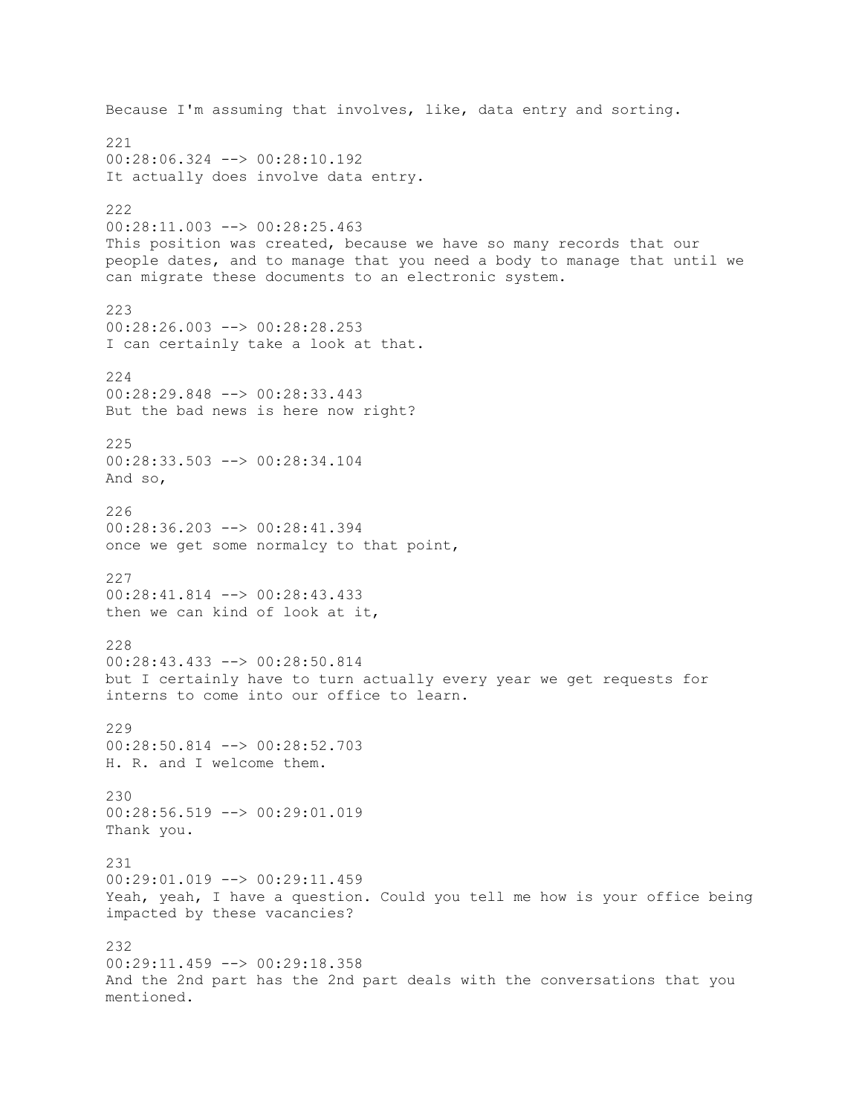Because I'm assuming that involves, like, data entry and sorting. 221 00:28:06.324 --> 00:28:10.192 It actually does involve data entry. 222 00:28:11.003 --> 00:28:25.463 This position was created, because we have so many records that our people dates, and to manage that you need a body to manage that until we can migrate these documents to an electronic system. 223 00:28:26.003 --> 00:28:28.253 I can certainly take a look at that. 224 00:28:29.848 --> 00:28:33.443 But the bad news is here now right? 225 00:28:33.503 --> 00:28:34.104 And so, 226 00:28:36.203 --> 00:28:41.394 once we get some normalcy to that point, 227 00:28:41.814 --> 00:28:43.433 then we can kind of look at it, 228 00:28:43.433 --> 00:28:50.814 but I certainly have to turn actually every year we get requests for interns to come into our office to learn. 229 00:28:50.814 --> 00:28:52.703 H. R. and I welcome them. 230 00:28:56.519 --> 00:29:01.019 Thank you. 231 00:29:01.019 --> 00:29:11.459 Yeah, yeah, I have a question. Could you tell me how is your office being impacted by these vacancies? 232 00:29:11.459 --> 00:29:18.358 And the 2nd part has the 2nd part deals with the conversations that you mentioned.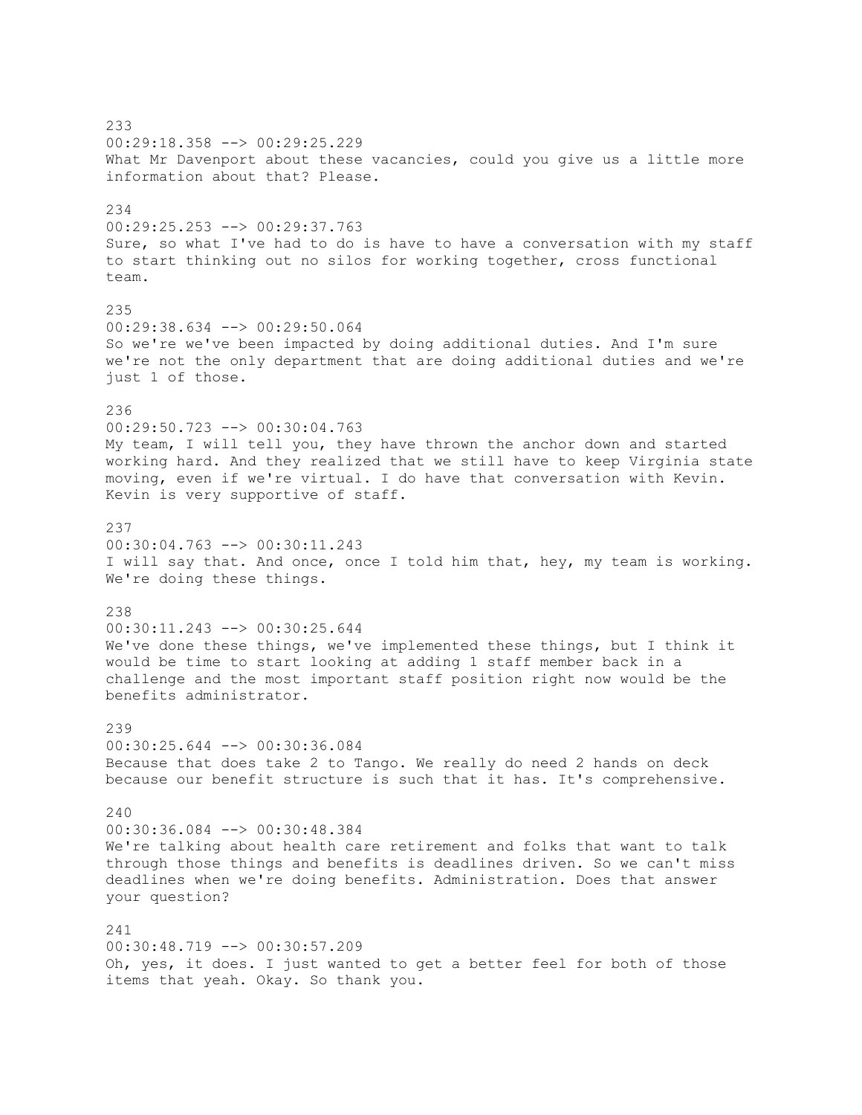233 00:29:18.358 --> 00:29:25.229 What Mr Davenport about these vacancies, could you give us a little more information about that? Please. 234 00:29:25.253 --> 00:29:37.763 Sure, so what I've had to do is have to have a conversation with my staff to start thinking out no silos for working together, cross functional team. 235 00:29:38.634 --> 00:29:50.064 So we're we've been impacted by doing additional duties. And I'm sure we're not the only department that are doing additional duties and we're just 1 of those. 236 00:29:50.723 --> 00:30:04.763 My team, I will tell you, they have thrown the anchor down and started working hard. And they realized that we still have to keep Virginia state moving, even if we're virtual. I do have that conversation with Kevin. Kevin is very supportive of staff. 237 00:30:04.763 --> 00:30:11.243 I will say that. And once, once I told him that, hey, my team is working. We're doing these things. 238 00:30:11.243 --> 00:30:25.644 We've done these things, we've implemented these things, but I think it would be time to start looking at adding 1 staff member back in a challenge and the most important staff position right now would be the benefits administrator. 239 00:30:25.644 --> 00:30:36.084 Because that does take 2 to Tango. We really do need 2 hands on deck because our benefit structure is such that it has. It's comprehensive.  $240$ 00:30:36.084 --> 00:30:48.384 We're talking about health care retirement and folks that want to talk through those things and benefits is deadlines driven. So we can't miss deadlines when we're doing benefits. Administration. Does that answer your question? 241 00:30:48.719 --> 00:30:57.209 Oh, yes, it does. I just wanted to get a better feel for both of those items that yeah. Okay. So thank you.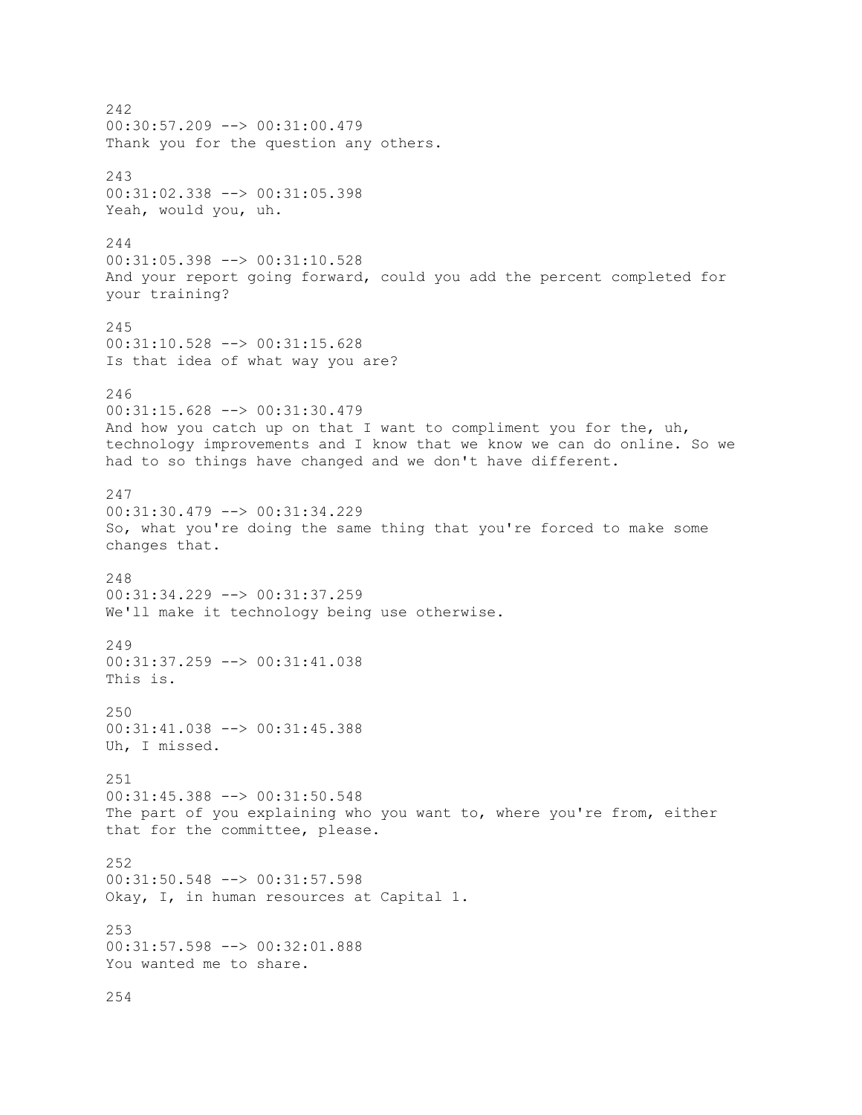242 00:30:57.209 --> 00:31:00.479 Thank you for the question any others. 243 00:31:02.338 --> 00:31:05.398 Yeah, would you, uh. 244 00:31:05.398 --> 00:31:10.528 And your report going forward, could you add the percent completed for your training? 245 00:31:10.528 --> 00:31:15.628 Is that idea of what way you are? 246 00:31:15.628 --> 00:31:30.479 And how you catch up on that I want to compliment you for the, uh, technology improvements and I know that we know we can do online. So we had to so things have changed and we don't have different. 247 00:31:30.479 --> 00:31:34.229 So, what you're doing the same thing that you're forced to make some changes that. 248 00:31:34.229 --> 00:31:37.259 We'll make it technology being use otherwise. 249 00:31:37.259 --> 00:31:41.038 This is. 250 00:31:41.038 --> 00:31:45.388 Uh, I missed. 251 00:31:45.388 --> 00:31:50.548 The part of you explaining who you want to, where you're from, either that for the committee, please. 252 00:31:50.548 --> 00:31:57.598 Okay, I, in human resources at Capital 1. 253 00:31:57.598 --> 00:32:01.888 You wanted me to share. 254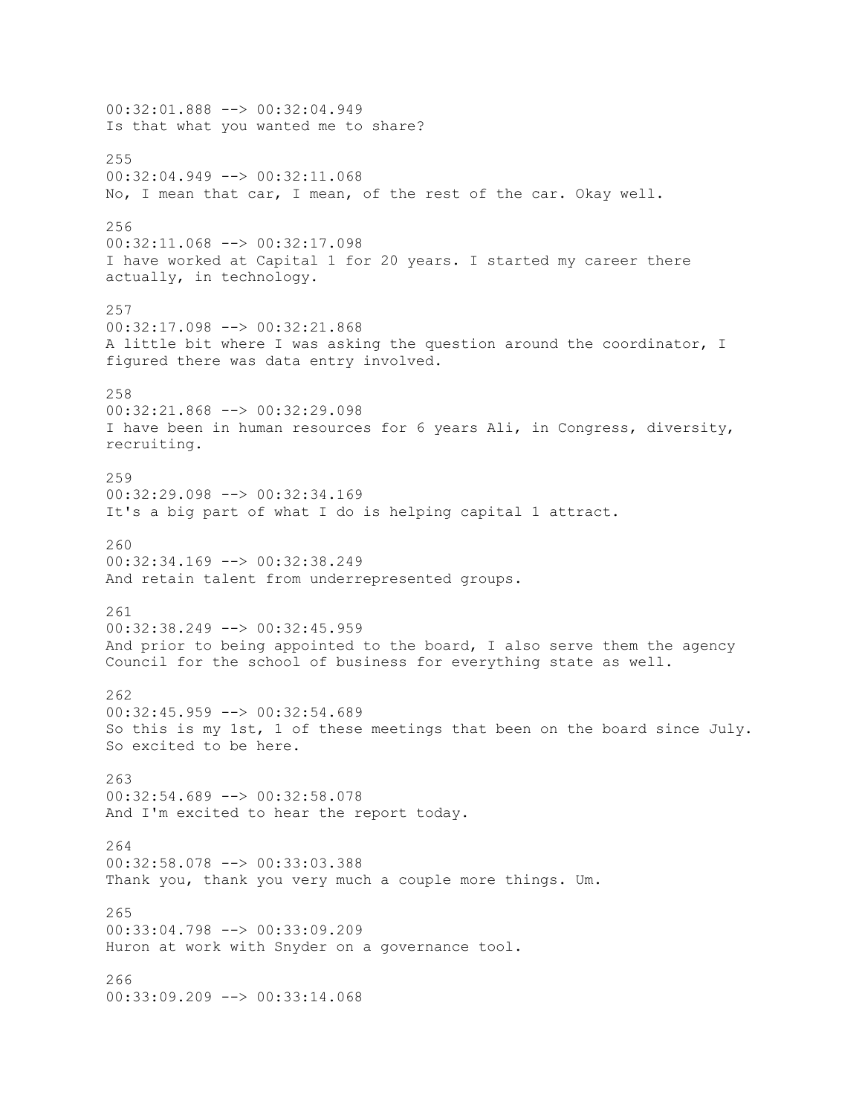00:32:01.888 --> 00:32:04.949 Is that what you wanted me to share? 255 00:32:04.949 --> 00:32:11.068 No, I mean that car, I mean, of the rest of the car. Okay well. 256 00:32:11.068 --> 00:32:17.098 I have worked at Capital 1 for 20 years. I started my career there actually, in technology. 257 00:32:17.098 --> 00:32:21.868 A little bit where I was asking the question around the coordinator, I figured there was data entry involved. 258 00:32:21.868 --> 00:32:29.098 I have been in human resources for 6 years Ali, in Congress, diversity, recruiting. 259 00:32:29.098 --> 00:32:34.169 It's a big part of what I do is helping capital 1 attract. 260 00:32:34.169 --> 00:32:38.249 And retain talent from underrepresented groups. 261 00:32:38.249 --> 00:32:45.959 And prior to being appointed to the board, I also serve them the agency Council for the school of business for everything state as well. 262 00:32:45.959 --> 00:32:54.689 So this is my 1st, 1 of these meetings that been on the board since July. So excited to be here. 263 00:32:54.689 --> 00:32:58.078 And I'm excited to hear the report today. 264 00:32:58.078 --> 00:33:03.388 Thank you, thank you very much a couple more things. Um. 265 00:33:04.798 --> 00:33:09.209 Huron at work with Snyder on a governance tool. 266 00:33:09.209 --> 00:33:14.068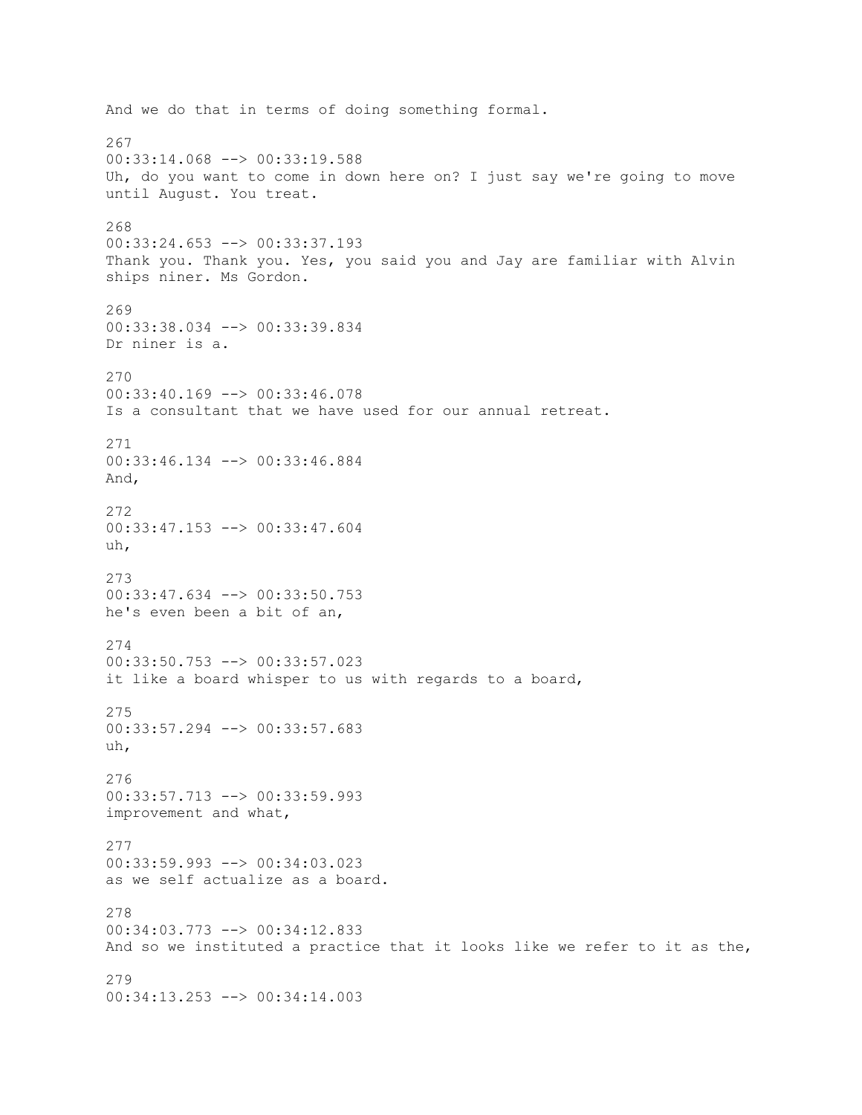And we do that in terms of doing something formal. 267 00:33:14.068 --> 00:33:19.588 Uh, do you want to come in down here on? I just say we're going to move until August. You treat. 268 00:33:24.653 --> 00:33:37.193 Thank you. Thank you. Yes, you said you and Jay are familiar with Alvin ships niner. Ms Gordon. 269 00:33:38.034 --> 00:33:39.834 Dr niner is a. 270 00:33:40.169 --> 00:33:46.078 Is a consultant that we have used for our annual retreat. 271 00:33:46.134 --> 00:33:46.884 And, 272 00:33:47.153 --> 00:33:47.604 uh, 273 00:33:47.634 --> 00:33:50.753 he's even been a bit of an, 274  $00:33:50.753$   $\rightarrow$   $00:33:57.023$ it like a board whisper to us with regards to a board, 275 00:33:57.294 --> 00:33:57.683 uh, 276 00:33:57.713 --> 00:33:59.993 improvement and what, 277 00:33:59.993 --> 00:34:03.023 as we self actualize as a board. 278 00:34:03.773 --> 00:34:12.833 And so we instituted a practice that it looks like we refer to it as the, 279 00:34:13.253 --> 00:34:14.003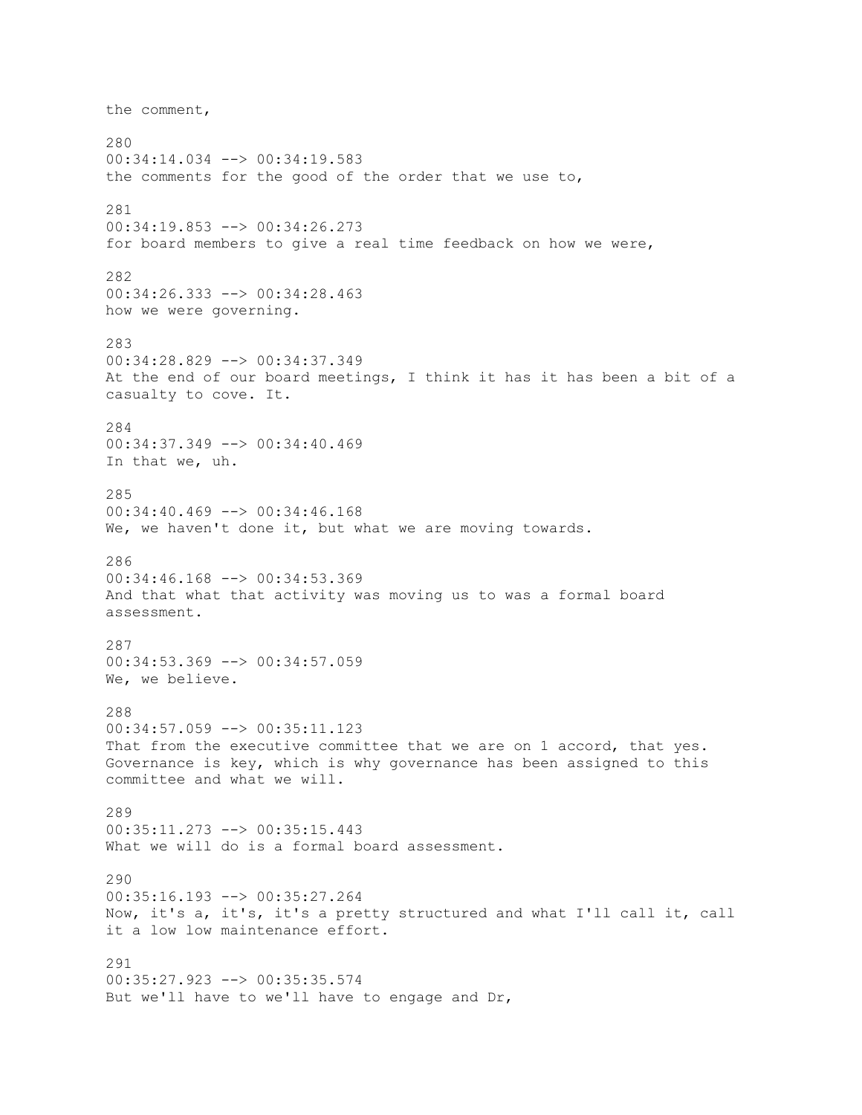the comment, 280 00:34:14.034 --> 00:34:19.583 the comments for the good of the order that we use to, 281 00:34:19.853 --> 00:34:26.273 for board members to give a real time feedback on how we were, 282 00:34:26.333 --> 00:34:28.463 how we were governing. 283 00:34:28.829 --> 00:34:37.349 At the end of our board meetings, I think it has it has been a bit of a casualty to cove. It. 284 00:34:37.349 --> 00:34:40.469 In that we, uh. 285 00:34:40.469 --> 00:34:46.168 We, we haven't done it, but what we are moving towards. 286 00:34:46.168 --> 00:34:53.369 And that what that activity was moving us to was a formal board assessment. 287  $00:34:53.369$  -->  $00:34:57.059$ We, we believe. 288 00:34:57.059 --> 00:35:11.123 That from the executive committee that we are on 1 accord, that yes. Governance is key, which is why governance has been assigned to this committee and what we will. 289 00:35:11.273 --> 00:35:15.443 What we will do is a formal board assessment. 290 00:35:16.193 --> 00:35:27.264 Now, it's a, it's, it's a pretty structured and what I'll call it, call it a low low maintenance effort. 291 00:35:27.923 --> 00:35:35.574 But we'll have to we'll have to engage and Dr,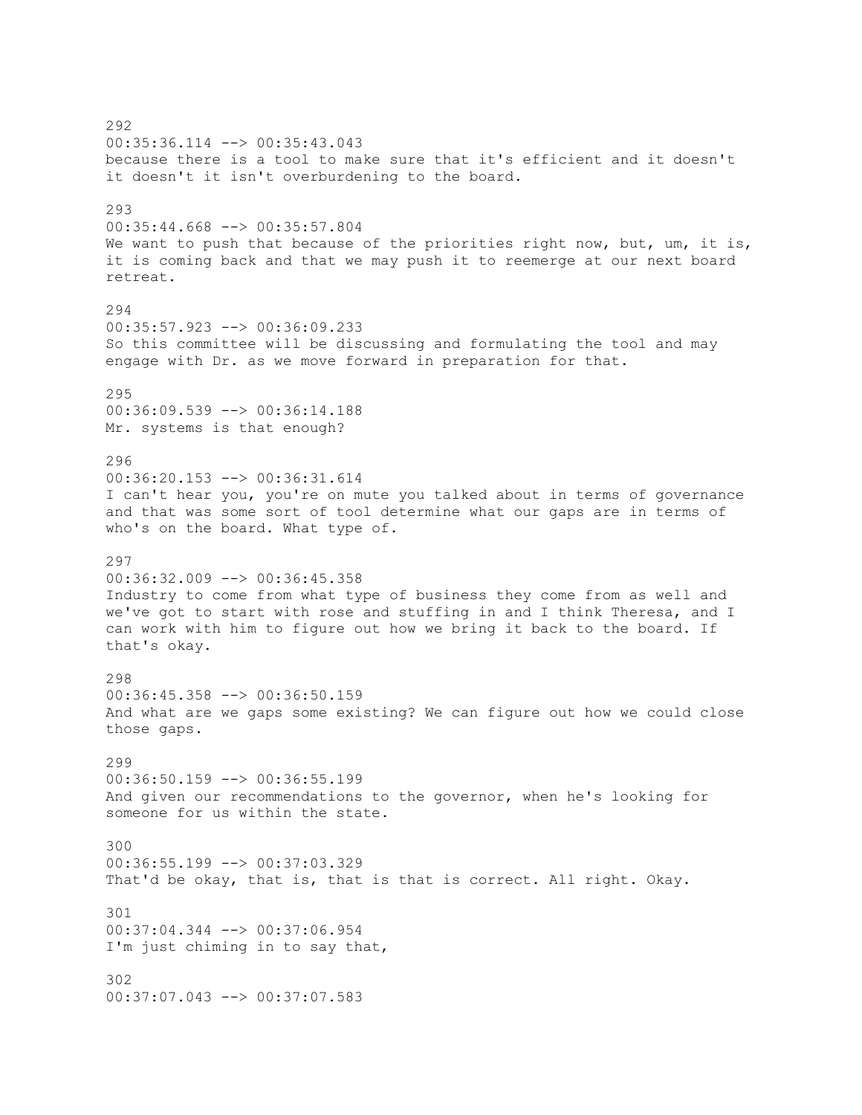292 00:35:36.114 --> 00:35:43.043 because there is a tool to make sure that it's efficient and it doesn't it doesn't it isn't overburdening to the board. 293 00:35:44.668 --> 00:35:57.804 We want to push that because of the priorities right now, but, um, it is, it is coming back and that we may push it to reemerge at our next board retreat. 294 00:35:57.923 --> 00:36:09.233 So this committee will be discussing and formulating the tool and may engage with Dr. as we move forward in preparation for that. 295 00:36:09.539 --> 00:36:14.188 Mr. systems is that enough? 296 00:36:20.153 --> 00:36:31.614 I can't hear you, you're on mute you talked about in terms of governance and that was some sort of tool determine what our gaps are in terms of who's on the board. What type of. 297 00:36:32.009 --> 00:36:45.358 Industry to come from what type of business they come from as well and we've got to start with rose and stuffing in and I think Theresa, and I can work with him to figure out how we bring it back to the board. If that's okay. 298 00:36:45.358 --> 00:36:50.159 And what are we gaps some existing? We can figure out how we could close those gaps. 299 00:36:50.159 --> 00:36:55.199 And given our recommendations to the governor, when he's looking for someone for us within the state. 300 00:36:55.199 --> 00:37:03.329 That'd be okay, that is, that is that is correct. All right. Okay. 301 00:37:04.344 --> 00:37:06.954 I'm just chiming in to say that, 302 00:37:07.043 --> 00:37:07.583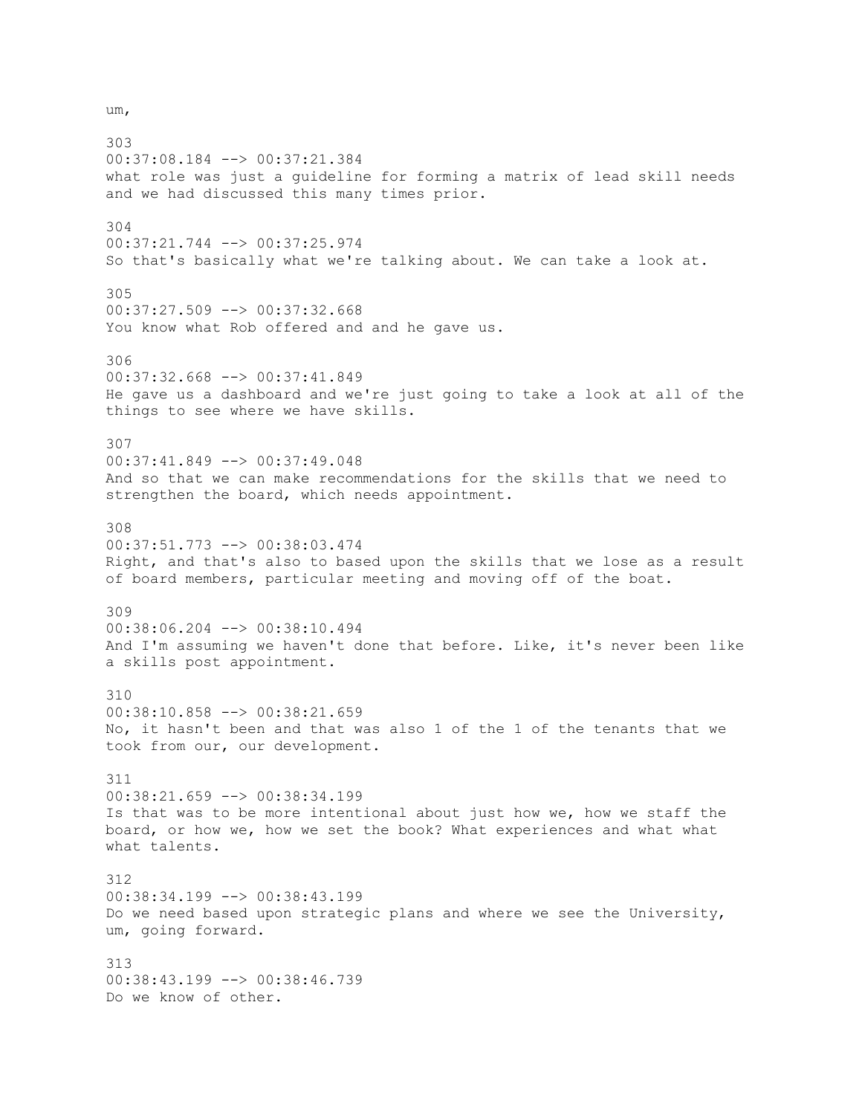um,

303 00:37:08.184 --> 00:37:21.384 what role was just a guideline for forming a matrix of lead skill needs and we had discussed this many times prior. 304 00:37:21.744 --> 00:37:25.974 So that's basically what we're talking about. We can take a look at. 305 00:37:27.509 --> 00:37:32.668 You know what Rob offered and and he gave us. 306 00:37:32.668 --> 00:37:41.849 He gave us a dashboard and we're just going to take a look at all of the things to see where we have skills. 307 00:37:41.849 --> 00:37:49.048 And so that we can make recommendations for the skills that we need to strengthen the board, which needs appointment. 308 00:37:51.773 --> 00:38:03.474 Right, and that's also to based upon the skills that we lose as a result of board members, particular meeting and moving off of the boat. 309 00:38:06.204 --> 00:38:10.494 And I'm assuming we haven't done that before. Like, it's never been like a skills post appointment. 310 00:38:10.858 --> 00:38:21.659 No, it hasn't been and that was also 1 of the 1 of the tenants that we took from our, our development. 311 00:38:21.659 --> 00:38:34.199 Is that was to be more intentional about just how we, how we staff the board, or how we, how we set the book? What experiences and what what what talents. 312 00:38:34.199 --> 00:38:43.199 Do we need based upon strategic plans and where we see the University, um, going forward. 313 00:38:43.199 --> 00:38:46.739 Do we know of other.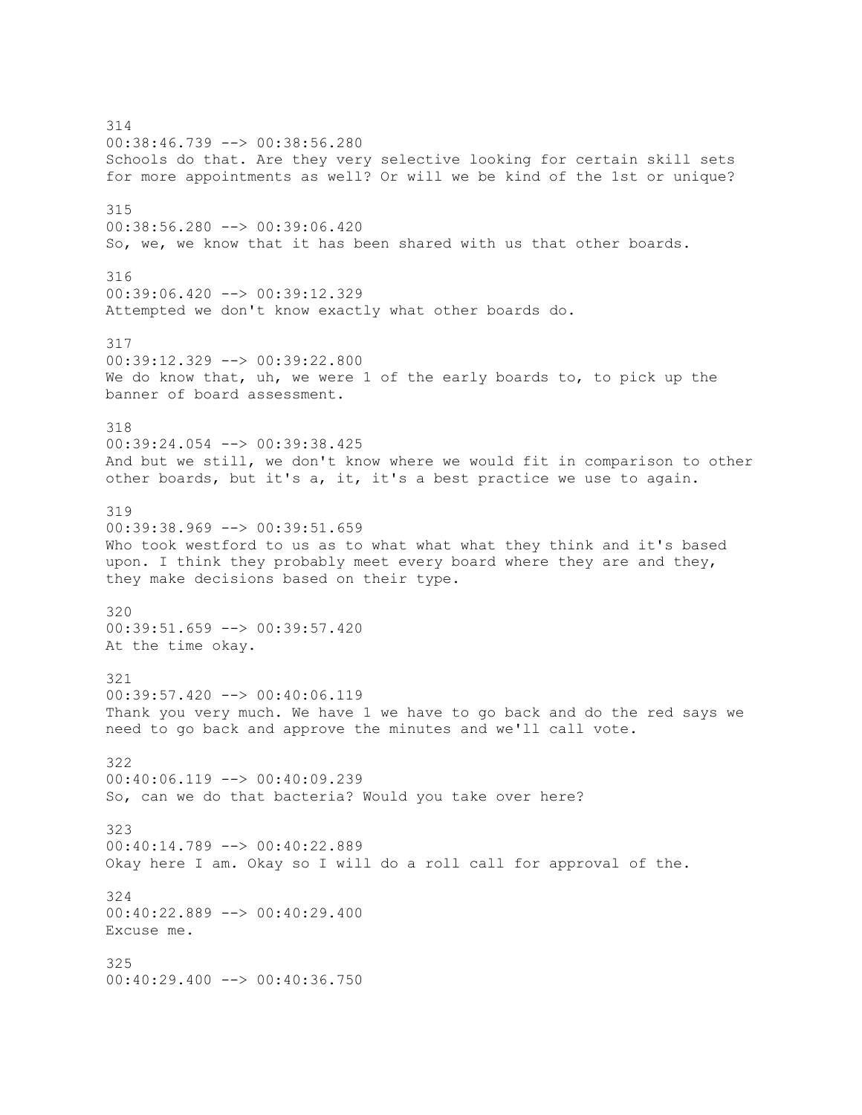314 00:38:46.739 --> 00:38:56.280 Schools do that. Are they very selective looking for certain skill sets for more appointments as well? Or will we be kind of the 1st or unique? 315 00:38:56.280 --> 00:39:06.420 So, we, we know that it has been shared with us that other boards. 316 00:39:06.420 --> 00:39:12.329 Attempted we don't know exactly what other boards do. 317 00:39:12.329 --> 00:39:22.800 We do know that, uh, we were 1 of the early boards to, to pick up the banner of board assessment. 318 00:39:24.054 --> 00:39:38.425 And but we still, we don't know where we would fit in comparison to other other boards, but it's a, it, it's a best practice we use to again. 319 00:39:38.969 --> 00:39:51.659 Who took westford to us as to what what what they think and it's based upon. I think they probably meet every board where they are and they, they make decisions based on their type. 320 00:39:51.659 --> 00:39:57.420 At the time okay. 321  $00:39:57.420$  -->  $00:40:06.119$ Thank you very much. We have 1 we have to go back and do the red says we need to go back and approve the minutes and we'll call vote. 322 00:40:06.119 --> 00:40:09.239 So, can we do that bacteria? Would you take over here? 323 00:40:14.789 --> 00:40:22.889 Okay here I am. Okay so I will do a roll call for approval of the. 324 00:40:22.889 --> 00:40:29.400 Excuse me. 325 00:40:29.400 --> 00:40:36.750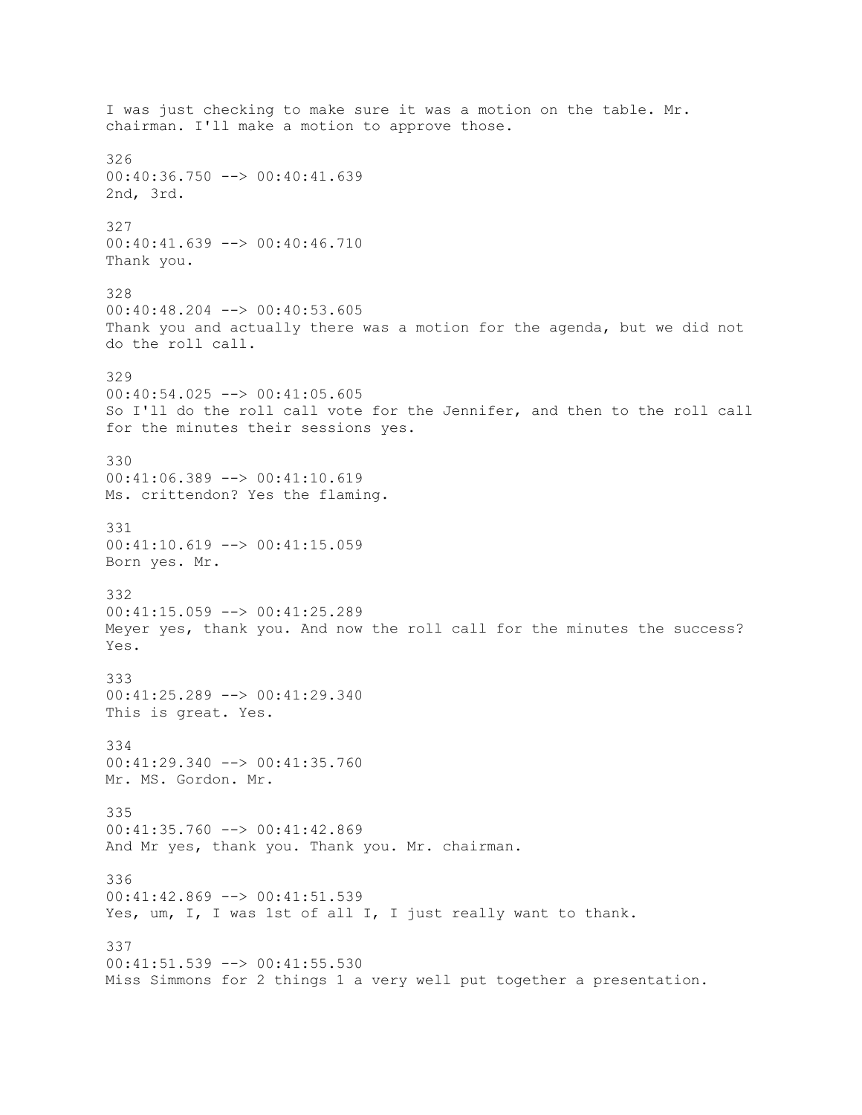I was just checking to make sure it was a motion on the table. Mr. chairman. I'll make a motion to approve those. 326 00:40:36.750 --> 00:40:41.639 2nd, 3rd. 327 00:40:41.639 --> 00:40:46.710 Thank you. 328 00:40:48.204 --> 00:40:53.605 Thank you and actually there was a motion for the agenda, but we did not do the roll call. 329 00:40:54.025 --> 00:41:05.605 So I'll do the roll call vote for the Jennifer, and then to the roll call for the minutes their sessions yes. 330 00:41:06.389 --> 00:41:10.619 Ms. crittendon? Yes the flaming. 331 00:41:10.619 --> 00:41:15.059 Born yes. Mr. 332 00:41:15.059 --> 00:41:25.289 Meyer yes, thank you. And now the roll call for the minutes the success? Yes. 333 00:41:25.289 --> 00:41:29.340 This is great. Yes. 334 00:41:29.340 --> 00:41:35.760 Mr. MS. Gordon. Mr. 335 00:41:35.760 --> 00:41:42.869 And Mr yes, thank you. Thank you. Mr. chairman. 336 00:41:42.869 --> 00:41:51.539 Yes, um, I, I was 1st of all I, I just really want to thank. 337 00:41:51.539 --> 00:41:55.530 Miss Simmons for 2 things 1 a very well put together a presentation.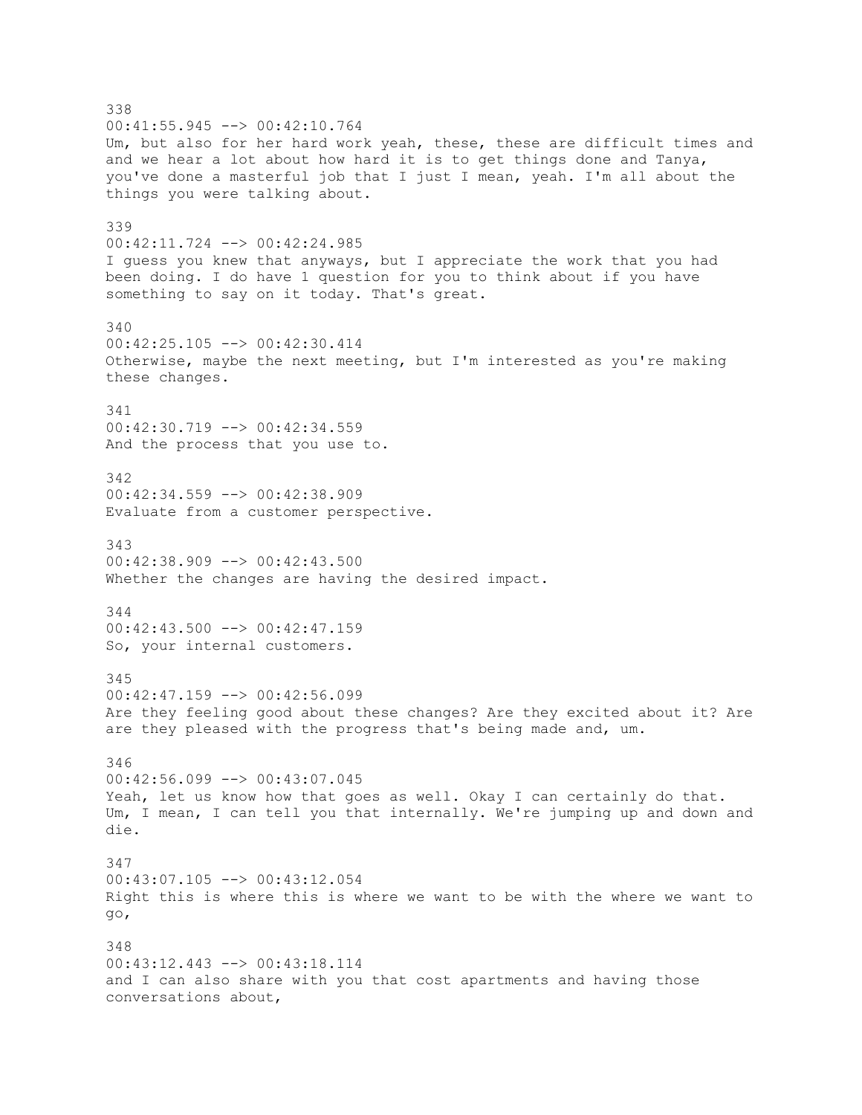338 00:41:55.945 --> 00:42:10.764 Um, but also for her hard work yeah, these, these are difficult times and and we hear a lot about how hard it is to get things done and Tanya, you've done a masterful job that I just I mean, yeah. I'm all about the things you were talking about. 339 00:42:11.724 --> 00:42:24.985 I guess you knew that anyways, but I appreciate the work that you had been doing. I do have 1 question for you to think about if you have something to say on it today. That's great. 340 00:42:25.105 --> 00:42:30.414 Otherwise, maybe the next meeting, but I'm interested as you're making these changes. 341 00:42:30.719 --> 00:42:34.559 And the process that you use to. 342 00:42:34.559 --> 00:42:38.909 Evaluate from a customer perspective. 343 00:42:38.909 --> 00:42:43.500 Whether the changes are having the desired impact. 344  $00:42:43.500$  -->  $00:42:47.159$ So, your internal customers. 345  $00:42:47.159$  -->  $00:42:56.099$ Are they feeling good about these changes? Are they excited about it? Are are they pleased with the progress that's being made and, um. 346 00:42:56.099 --> 00:43:07.045 Yeah, let us know how that goes as well. Okay I can certainly do that. Um, I mean, I can tell you that internally. We're jumping up and down and die. 347 00:43:07.105 --> 00:43:12.054 Right this is where this is where we want to be with the where we want to go, 348 00:43:12.443 --> 00:43:18.114 and I can also share with you that cost apartments and having those conversations about,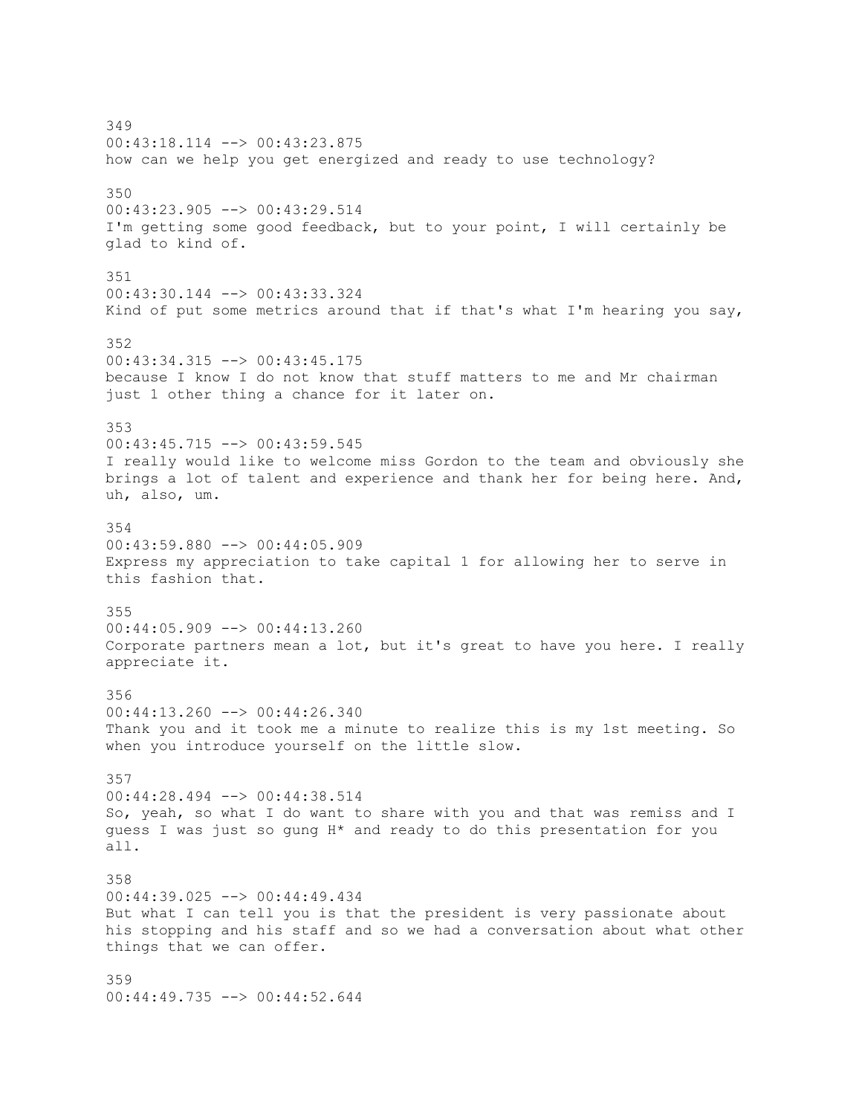349 00:43:18.114 --> 00:43:23.875 how can we help you get energized and ready to use technology? 350 00:43:23.905 --> 00:43:29.514 I'm getting some good feedback, but to your point, I will certainly be glad to kind of. 351 00:43:30.144 --> 00:43:33.324 Kind of put some metrics around that if that's what I'm hearing you say, 352 00:43:34.315 --> 00:43:45.175 because I know I do not know that stuff matters to me and Mr chairman just 1 other thing a chance for it later on. 353 00:43:45.715 --> 00:43:59.545 I really would like to welcome miss Gordon to the team and obviously she brings a lot of talent and experience and thank her for being here. And, uh, also, um. 354  $00:43:59.880$  -->  $00:44:05.909$ Express my appreciation to take capital 1 for allowing her to serve in this fashion that. 355 00:44:05.909 --> 00:44:13.260 Corporate partners mean a lot, but it's great to have you here. I really appreciate it. 356 00:44:13.260 --> 00:44:26.340 Thank you and it took me a minute to realize this is my 1st meeting. So when you introduce yourself on the little slow. 357 00:44:28.494 --> 00:44:38.514 So, yeah, so what I do want to share with you and that was remiss and I guess I was just so gung H\* and ready to do this presentation for you all. 358 00:44:39.025 --> 00:44:49.434 But what I can tell you is that the president is very passionate about his stopping and his staff and so we had a conversation about what other things that we can offer. 359 00:44:49.735 --> 00:44:52.644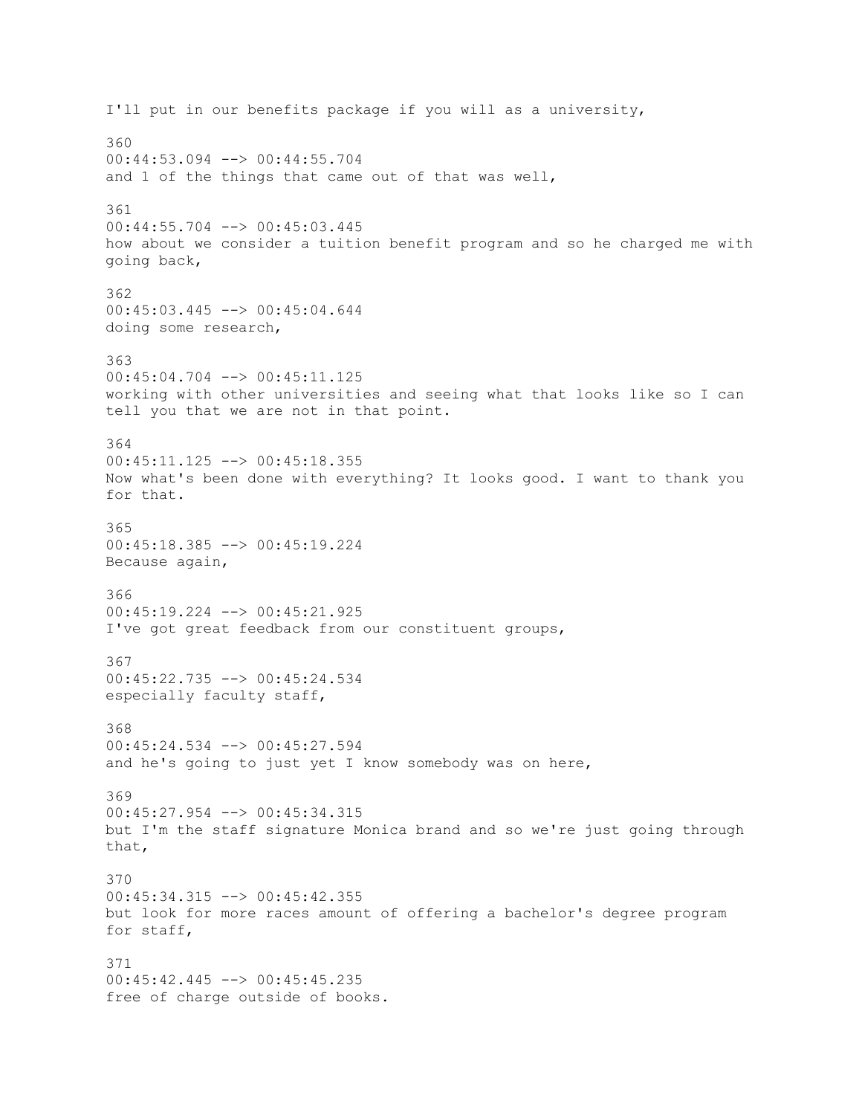I'll put in our benefits package if you will as a university, 360 00:44:53.094 --> 00:44:55.704 and 1 of the things that came out of that was well, 361 00:44:55.704 --> 00:45:03.445 how about we consider a tuition benefit program and so he charged me with going back, 362 00:45:03.445 --> 00:45:04.644 doing some research, 363 00:45:04.704 --> 00:45:11.125 working with other universities and seeing what that looks like so I can tell you that we are not in that point. 364 00:45:11.125 --> 00:45:18.355 Now what's been done with everything? It looks good. I want to thank you for that. 365 00:45:18.385 --> 00:45:19.224 Because again, 366 00:45:19.224 --> 00:45:21.925 I've got great feedback from our constituent groups, 367 00:45:22.735 --> 00:45:24.534 especially faculty staff, 368 00:45:24.534 --> 00:45:27.594 and he's going to just yet I know somebody was on here, 369 00:45:27.954 --> 00:45:34.315 but I'm the staff signature Monica brand and so we're just going through that, 370 00:45:34.315 --> 00:45:42.355 but look for more races amount of offering a bachelor's degree program for staff, 371 00:45:42.445 --> 00:45:45.235 free of charge outside of books.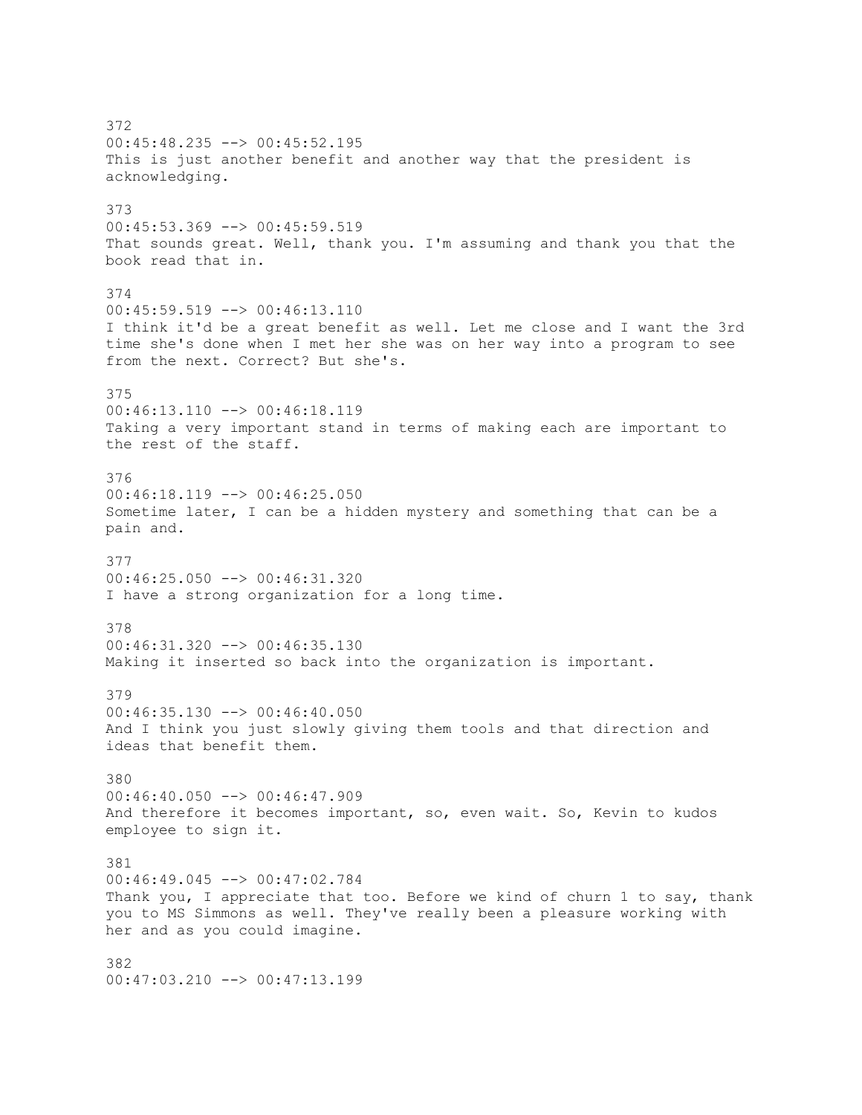372 00:45:48.235 --> 00:45:52.195 This is just another benefit and another way that the president is acknowledging. 373 00:45:53.369 --> 00:45:59.519 That sounds great. Well, thank you. I'm assuming and thank you that the book read that in. 374 00:45:59.519 --> 00:46:13.110 I think it'd be a great benefit as well. Let me close and I want the 3rd time she's done when I met her she was on her way into a program to see from the next. Correct? But she's. 375 00:46:13.110 --> 00:46:18.119 Taking a very important stand in terms of making each are important to the rest of the staff. 376  $00:46:18.119$  -->  $00:46:25.050$ Sometime later, I can be a hidden mystery and something that can be a pain and. 377 00:46:25.050 --> 00:46:31.320 I have a strong organization for a long time. 378 00:46:31.320 --> 00:46:35.130 Making it inserted so back into the organization is important. 379 00:46:35.130 --> 00:46:40.050 And I think you just slowly giving them tools and that direction and ideas that benefit them. 380 00:46:40.050 --> 00:46:47.909 And therefore it becomes important, so, even wait. So, Kevin to kudos employee to sign it. 381 00:46:49.045 --> 00:47:02.784 Thank you, I appreciate that too. Before we kind of churn 1 to say, thank you to MS Simmons as well. They've really been a pleasure working with her and as you could imagine. 382 00:47:03.210 --> 00:47:13.199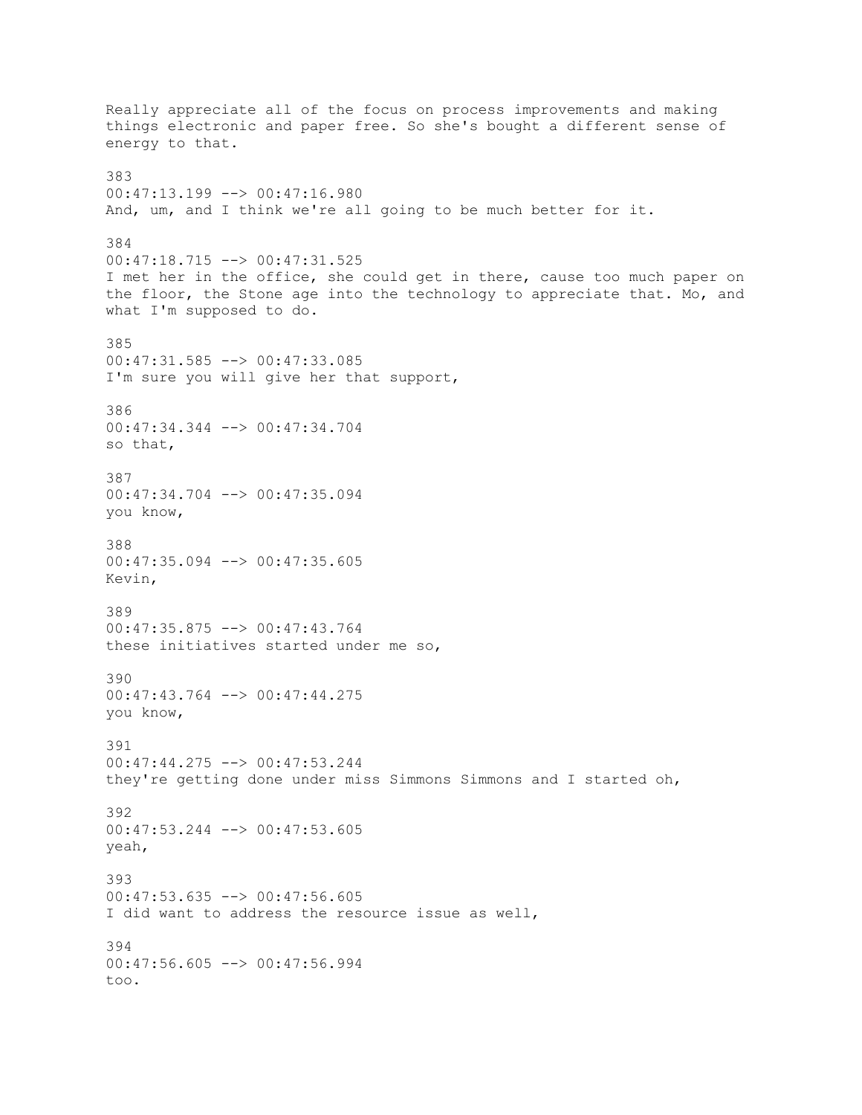Really appreciate all of the focus on process improvements and making things electronic and paper free. So she's bought a different sense of energy to that. 383 00:47:13.199 --> 00:47:16.980 And, um, and I think we're all going to be much better for it. 384 00:47:18.715 --> 00:47:31.525 I met her in the office, she could get in there, cause too much paper on the floor, the Stone age into the technology to appreciate that. Mo, and what I'm supposed to do. 385 00:47:31.585 --> 00:47:33.085 I'm sure you will give her that support, 386 00:47:34.344 --> 00:47:34.704 so that, 387 00:47:34.704 --> 00:47:35.094 you know, 388 00:47:35.094 --> 00:47:35.605 Kevin, 389 00:47:35.875 --> 00:47:43.764 these initiatives started under me so, 390 00:47:43.764 --> 00:47:44.275 you know, 391 00:47:44.275 --> 00:47:53.244 they're getting done under miss Simmons Simmons and I started oh, 392 00:47:53.244 --> 00:47:53.605 yeah, 393 00:47:53.635 --> 00:47:56.605 I did want to address the resource issue as well, 394 00:47:56.605 --> 00:47:56.994 too.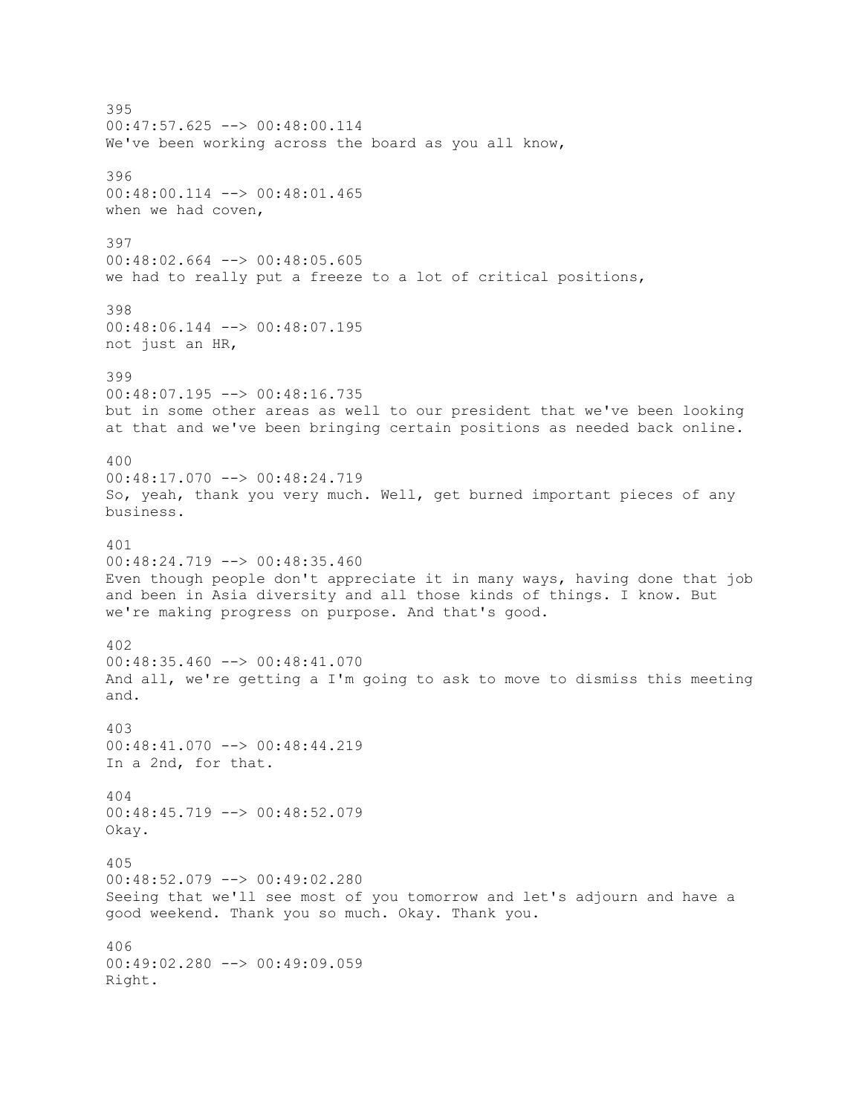395 00:47:57.625 --> 00:48:00.114 We've been working across the board as you all know, 396 00:48:00.114 --> 00:48:01.465 when we had coven, 397 00:48:02.664 --> 00:48:05.605 we had to really put a freeze to a lot of critical positions, 398 00:48:06.144 --> 00:48:07.195 not just an HR, 399 00:48:07.195 --> 00:48:16.735 but in some other areas as well to our president that we've been looking at that and we've been bringing certain positions as needed back online. 400 00:48:17.070 --> 00:48:24.719 So, yeah, thank you very much. Well, get burned important pieces of any business. 401 00:48:24.719 --> 00:48:35.460 Even though people don't appreciate it in many ways, having done that job and been in Asia diversity and all those kinds of things. I know. But we're making progress on purpose. And that's good. 402  $00:48:35.460$  -->  $00:48:41.070$ And all, we're getting a I'm going to ask to move to dismiss this meeting and. 403 00:48:41.070 --> 00:48:44.219 In a 2nd, for that. 404 00:48:45.719 --> 00:48:52.079 Okay. 405 00:48:52.079 --> 00:49:02.280 Seeing that we'll see most of you tomorrow and let's adjourn and have a good weekend. Thank you so much. Okay. Thank you. 406 00:49:02.280 --> 00:49:09.059 Right.